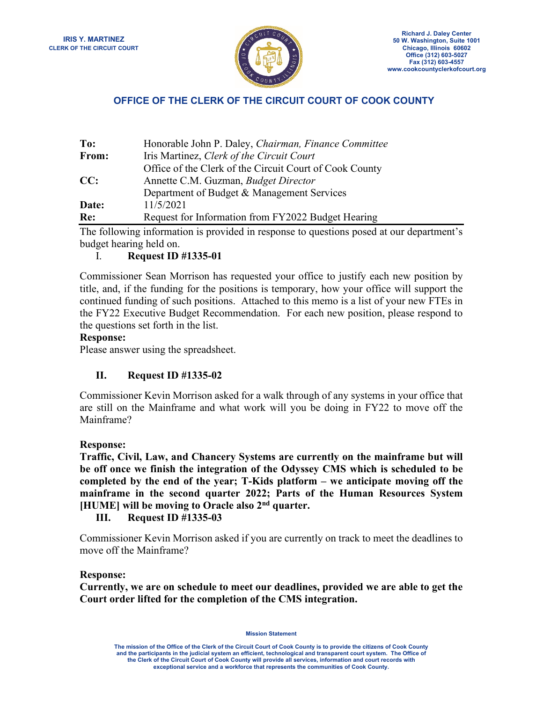

# **OFFICE OF THE CLERK OF THE CIRCUIT COURT OF COOK COUNTY**

| To:   | Honorable John P. Daley, Chairman, Finance Committee    |
|-------|---------------------------------------------------------|
| From: | Iris Martinez, Clerk of the Circuit Court               |
|       | Office of the Clerk of the Circuit Court of Cook County |
| CC:   | Annette C.M. Guzman, <i>Budget Director</i>             |
|       | Department of Budget & Management Services              |
| Date: | 11/5/2021                                               |
| Re:   | Request for Information from FY2022 Budget Hearing      |

The following information is provided in response to questions posed at our department's budget hearing held on.

## I. **Request ID #1335-01**

Commissioner Sean Morrison has requested your office to justify each new position by title, and, if the funding for the positions is temporary, how your office will support the continued funding of such positions. Attached to this memo is a list of your new FTEs in the FY22 Executive Budget Recommendation. For each new position, please respond to the questions set forth in the list.

### **Response:**

Please answer using the spreadsheet.

## **II. Request ID #1335-02**

Commissioner Kevin Morrison asked for a walk through of any systems in your office that are still on the Mainframe and what work will you be doing in FY22 to move off the Mainframe?

### **Response:**

**Traffic, Civil, Law, and Chancery Systems are currently on the mainframe but will be off once we finish the integration of the Odyssey CMS which is scheduled to be completed by the end of the year; T-Kids platform – we anticipate moving off the mainframe in the second quarter 2022; Parts of the Human Resources System [HUME] will be moving to Oracle also 2nd quarter.**

**III. Request ID #1335-03**

Commissioner Kevin Morrison asked if you are currently on track to meet the deadlines to move off the Mainframe?

#### **Response:**

**Currently, we are on schedule to meet our deadlines, provided we are able to get the Court order lifted for the completion of the CMS integration.**

**Mission Statement**

**The mission of the Office of the Clerk of the Circuit Court of Cook County is to provide the citizens of Cook County and the participants in the judicial system an efficient, technological and transparent court system. The Office of the Clerk of the Circuit Court of Cook County will provide all services, information and court records with exceptional service and a workforce that represents the communities of Cook County.**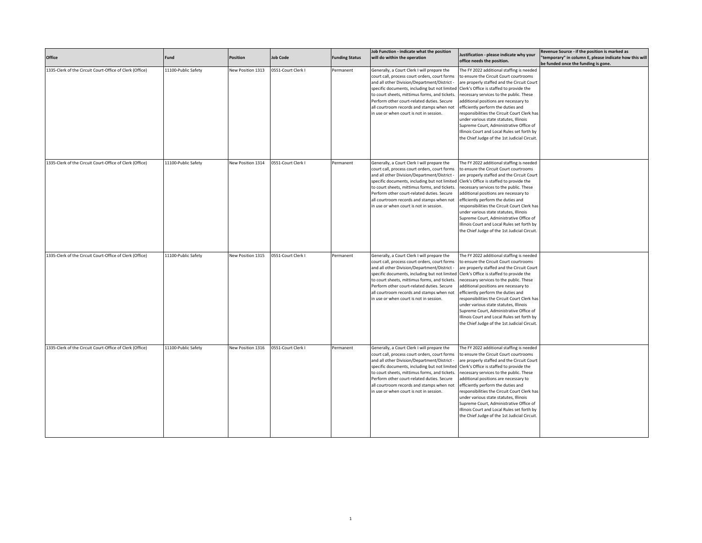| Office                                                   | Fund                | <b>Position</b>   | <b>Job Code</b>    | <b>Funding Status</b> | Job Function - indicate what the position<br>will do within the operation                                                                                                                                                                                                                                                                                                            | Justification - please indicate why your<br>office needs the position.                                                                                                                                                                                                                                                                                                                                                                                                                                                                     | Revenue Source - if the position is marked as<br>"temporary" in column E, please indicate how this will<br>be funded once the funding is gone. |
|----------------------------------------------------------|---------------------|-------------------|--------------------|-----------------------|--------------------------------------------------------------------------------------------------------------------------------------------------------------------------------------------------------------------------------------------------------------------------------------------------------------------------------------------------------------------------------------|--------------------------------------------------------------------------------------------------------------------------------------------------------------------------------------------------------------------------------------------------------------------------------------------------------------------------------------------------------------------------------------------------------------------------------------------------------------------------------------------------------------------------------------------|------------------------------------------------------------------------------------------------------------------------------------------------|
| 1335-Clerk of the Circuit Court-Office of Clerk (Office) | 11100-Public Safety | New Position 1313 | 0551-Court Clerk I | Permanent             | Generally, a Court Clerk I will prepare the<br>court call, process court orders, court forms<br>and all other Division/Department/District -<br>specific documents, including but not limited<br>to court sheets, mittimus forms, and tickets.<br>Perform other court-related duties. Secure<br>all courtroom records and stamps when not<br>in use or when court is not in session. | The FY 2022 additional staffing is needed<br>to ensure the Circuit Court courtrooms<br>are properly staffed and the Circuit Court<br>Clerk's Office is staffed to provide the<br>necessary services to the public. These<br>additional positions are necessary to<br>efficiently perform the duties and<br>responsibilities the Circuit Court Clerk has<br>under various state statutes, Illinois<br>Supreme Court, Administrative Office of<br>Illinois Court and Local Rules set forth by<br>the Chief Judge of the 1st Judicial Circuit |                                                                                                                                                |
| 1335-Clerk of the Circuit Court-Office of Clerk (Office) | 11100-Public Safety | New Position 1314 | 0551-Court Clerk I | Permanent             | Generally, a Court Clerk I will prepare the<br>court call, process court orders, court forms<br>and all other Division/Department/District -<br>specific documents, including but not limited<br>to court sheets, mittimus forms, and tickets.<br>Perform other court-related duties. Secure<br>all courtroom records and stamps when not<br>in use or when court is not in session. | The FY 2022 additional staffing is needed<br>to ensure the Circuit Court courtrooms<br>are properly staffed and the Circuit Court<br>Clerk's Office is staffed to provide the<br>necessary services to the public. These<br>additional positions are necessary to<br>efficiently perform the duties and<br>responsibilities the Circuit Court Clerk has<br>under various state statutes, Illinois<br>Supreme Court, Administrative Office of<br>Illinois Court and Local Rules set forth by<br>the Chief Judge of the 1st Judicial Circuit |                                                                                                                                                |
| 1335-Clerk of the Circuit Court-Office of Clerk (Office) | 11100-Public Safety | New Position 1315 | 0551-Court Clerk I | Permanent             | Generally, a Court Clerk I will prepare the<br>court call, process court orders, court forms<br>and all other Division/Department/District -<br>specific documents, including but not limited<br>to court sheets, mittimus forms, and tickets.<br>Perform other court-related duties. Secure<br>all courtroom records and stamps when not<br>in use or when court is not in session. | The FY 2022 additional staffing is needed<br>to ensure the Circuit Court courtrooms<br>are properly staffed and the Circuit Court<br>Clerk's Office is staffed to provide the<br>necessary services to the public. These<br>additional positions are necessary to<br>efficiently perform the duties and<br>responsibilities the Circuit Court Clerk has<br>under various state statutes, Illinois<br>Supreme Court, Administrative Office of<br>Illinois Court and Local Rules set forth by<br>the Chief Judge of the 1st Judicial Circuit |                                                                                                                                                |
| 1335-Clerk of the Circuit Court-Office of Clerk (Office) | 11100-Public Safety | New Position 1316 | 0551-Court Clerk I | Permanent             | Generally, a Court Clerk I will prepare the<br>court call, process court orders, court forms<br>and all other Division/Department/District -<br>specific documents, including but not limited<br>to court sheets, mittimus forms, and tickets.<br>Perform other court-related duties. Secure<br>all courtroom records and stamps when not<br>in use or when court is not in session. | The FY 2022 additional staffing is needed<br>to ensure the Circuit Court courtrooms<br>are properly staffed and the Circuit Court<br>Clerk's Office is staffed to provide the<br>necessary services to the public. These<br>additional positions are necessary to<br>efficiently perform the duties and<br>responsibilities the Circuit Court Clerk has<br>under various state statutes, Illinois<br>Supreme Court, Administrative Office of<br>Illinois Court and Local Rules set forth by<br>the Chief Judge of the 1st Judicial Circuit |                                                                                                                                                |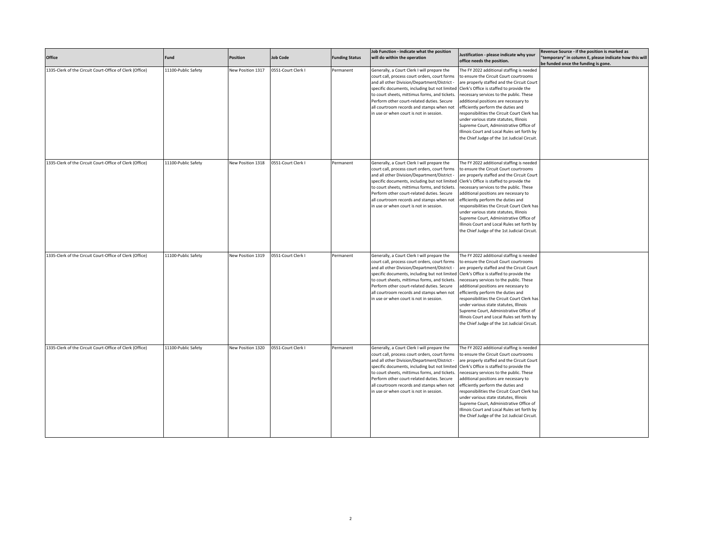| Office                                                   | Fund                | <b>Position</b>   | <b>Job Code</b>    | <b>Funding Status</b> | Job Function - indicate what the position<br>will do within the operation                                                                                                                                                                                                                                                                                                            | Justification - please indicate why your<br>office needs the position.                                                                                                                                                                                                                                                                                                                                                                                                                                                                     | Revenue Source - if the position is marked as<br>"temporary" in column E, please indicate how this will<br>be funded once the funding is gone. |
|----------------------------------------------------------|---------------------|-------------------|--------------------|-----------------------|--------------------------------------------------------------------------------------------------------------------------------------------------------------------------------------------------------------------------------------------------------------------------------------------------------------------------------------------------------------------------------------|--------------------------------------------------------------------------------------------------------------------------------------------------------------------------------------------------------------------------------------------------------------------------------------------------------------------------------------------------------------------------------------------------------------------------------------------------------------------------------------------------------------------------------------------|------------------------------------------------------------------------------------------------------------------------------------------------|
| 1335-Clerk of the Circuit Court-Office of Clerk (Office) | 11100-Public Safety | New Position 1317 | 0551-Court Clerk I | Permanent             | Generally, a Court Clerk I will prepare the<br>court call, process court orders, court forms<br>and all other Division/Department/District -<br>specific documents, including but not limited<br>to court sheets, mittimus forms, and tickets.<br>Perform other court-related duties. Secure<br>all courtroom records and stamps when not<br>in use or when court is not in session. | The FY 2022 additional staffing is needed<br>to ensure the Circuit Court courtrooms<br>are properly staffed and the Circuit Court<br>Clerk's Office is staffed to provide the<br>necessary services to the public. These<br>additional positions are necessary to<br>efficiently perform the duties and<br>responsibilities the Circuit Court Clerk has<br>under various state statutes, Illinois<br>Supreme Court, Administrative Office of<br>Illinois Court and Local Rules set forth by<br>the Chief Judge of the 1st Judicial Circuit |                                                                                                                                                |
| 1335-Clerk of the Circuit Court-Office of Clerk (Office) | 11100-Public Safety | New Position 1318 | 0551-Court Clerk I | Permanent             | Generally, a Court Clerk I will prepare the<br>court call, process court orders, court forms<br>and all other Division/Department/District -<br>specific documents, including but not limited<br>to court sheets, mittimus forms, and tickets.<br>Perform other court-related duties. Secure<br>all courtroom records and stamps when not<br>in use or when court is not in session. | The FY 2022 additional staffing is needed<br>to ensure the Circuit Court courtrooms<br>are properly staffed and the Circuit Court<br>Clerk's Office is staffed to provide the<br>necessary services to the public. These<br>additional positions are necessary to<br>efficiently perform the duties and<br>responsibilities the Circuit Court Clerk has<br>under various state statutes, Illinois<br>Supreme Court, Administrative Office of<br>Illinois Court and Local Rules set forth by<br>the Chief Judge of the 1st Judicial Circuit |                                                                                                                                                |
| 1335-Clerk of the Circuit Court-Office of Clerk (Office) | 11100-Public Safety | New Position 1319 | 0551-Court Clerk I | Permanent             | Generally, a Court Clerk I will prepare the<br>court call, process court orders, court forms<br>and all other Division/Department/District -<br>specific documents, including but not limited<br>to court sheets, mittimus forms, and tickets.<br>Perform other court-related duties. Secure<br>all courtroom records and stamps when not<br>in use or when court is not in session. | The FY 2022 additional staffing is needed<br>to ensure the Circuit Court courtrooms<br>are properly staffed and the Circuit Court<br>Clerk's Office is staffed to provide the<br>necessary services to the public. These<br>additional positions are necessary to<br>efficiently perform the duties and<br>responsibilities the Circuit Court Clerk has<br>under various state statutes, Illinois<br>Supreme Court, Administrative Office of<br>Illinois Court and Local Rules set forth by<br>the Chief Judge of the 1st Judicial Circuit |                                                                                                                                                |
| 1335-Clerk of the Circuit Court-Office of Clerk (Office) | 11100-Public Safety | New Position 1320 | 0551-Court Clerk I | Permanent             | Generally, a Court Clerk I will prepare the<br>court call, process court orders, court forms<br>and all other Division/Department/District -<br>specific documents, including but not limited<br>to court sheets, mittimus forms, and tickets.<br>Perform other court-related duties. Secure<br>all courtroom records and stamps when not<br>in use or when court is not in session. | The FY 2022 additional staffing is needed<br>to ensure the Circuit Court courtrooms<br>are properly staffed and the Circuit Court<br>Clerk's Office is staffed to provide the<br>necessary services to the public. These<br>additional positions are necessary to<br>efficiently perform the duties and<br>responsibilities the Circuit Court Clerk has<br>under various state statutes, Illinois<br>Supreme Court, Administrative Office of<br>Illinois Court and Local Rules set forth by<br>the Chief Judge of the 1st Judicial Circuit |                                                                                                                                                |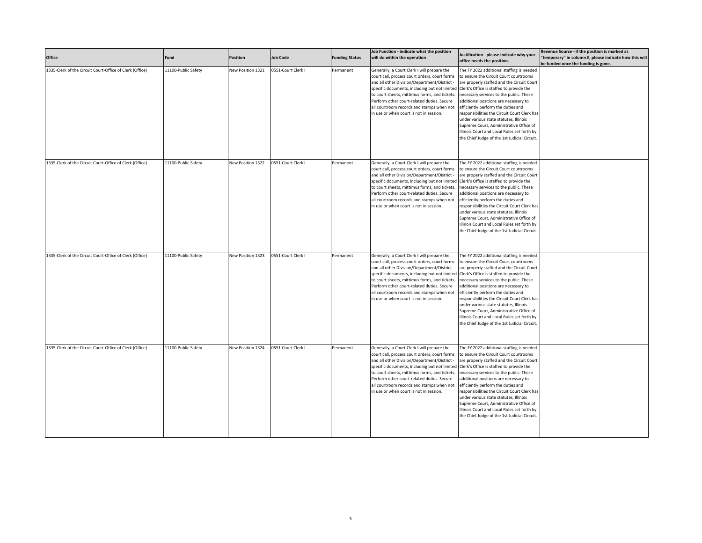| Office                                                   | Fund                | <b>Position</b>   | <b>Job Code</b>    | <b>Funding Status</b> | Job Function - indicate what the position<br>will do within the operation                                                                                                                                                                                                                                                                                                            | Justification - please indicate why your<br>office needs the position.                                                                                                                                                                                                                                                                                                                                                                                                                                                                     | Revenue Source - if the position is marked as<br>"temporary" in column E, please indicate how this will<br>be funded once the funding is gone. |
|----------------------------------------------------------|---------------------|-------------------|--------------------|-----------------------|--------------------------------------------------------------------------------------------------------------------------------------------------------------------------------------------------------------------------------------------------------------------------------------------------------------------------------------------------------------------------------------|--------------------------------------------------------------------------------------------------------------------------------------------------------------------------------------------------------------------------------------------------------------------------------------------------------------------------------------------------------------------------------------------------------------------------------------------------------------------------------------------------------------------------------------------|------------------------------------------------------------------------------------------------------------------------------------------------|
| 1335-Clerk of the Circuit Court-Office of Clerk (Office) | 11100-Public Safety | New Position 1321 | 0551-Court Clerk I | Permanent             | Generally, a Court Clerk I will prepare the<br>court call, process court orders, court forms<br>and all other Division/Department/District -<br>specific documents, including but not limited<br>to court sheets, mittimus forms, and tickets.<br>Perform other court-related duties. Secure<br>all courtroom records and stamps when not<br>in use or when court is not in session. | The FY 2022 additional staffing is needed<br>to ensure the Circuit Court courtrooms<br>are properly staffed and the Circuit Court<br>Clerk's Office is staffed to provide the<br>necessary services to the public. These<br>additional positions are necessary to<br>efficiently perform the duties and<br>responsibilities the Circuit Court Clerk has<br>under various state statutes, Illinois<br>Supreme Court, Administrative Office of<br>Illinois Court and Local Rules set forth by<br>the Chief Judge of the 1st Judicial Circuit |                                                                                                                                                |
| 1335-Clerk of the Circuit Court-Office of Clerk (Office) | 11100-Public Safety | New Position 1322 | 0551-Court Clerk I | Permanent             | Generally, a Court Clerk I will prepare the<br>court call, process court orders, court forms<br>and all other Division/Department/District -<br>specific documents, including but not limited<br>to court sheets, mittimus forms, and tickets.<br>Perform other court-related duties. Secure<br>all courtroom records and stamps when not<br>in use or when court is not in session. | The FY 2022 additional staffing is needed<br>to ensure the Circuit Court courtrooms<br>are properly staffed and the Circuit Court<br>Clerk's Office is staffed to provide the<br>necessary services to the public. These<br>additional positions are necessary to<br>efficiently perform the duties and<br>responsibilities the Circuit Court Clerk has<br>under various state statutes, Illinois<br>Supreme Court, Administrative Office of<br>Illinois Court and Local Rules set forth by<br>the Chief Judge of the 1st Judicial Circuit |                                                                                                                                                |
| 1335-Clerk of the Circuit Court-Office of Clerk (Office) | 11100-Public Safety | New Position 1323 | 0551-Court Clerk I | Permanent             | Generally, a Court Clerk I will prepare the<br>court call, process court orders, court forms<br>and all other Division/Department/District -<br>specific documents, including but not limited<br>to court sheets, mittimus forms, and tickets.<br>Perform other court-related duties. Secure<br>all courtroom records and stamps when not<br>in use or when court is not in session. | The FY 2022 additional staffing is needed<br>to ensure the Circuit Court courtrooms<br>are properly staffed and the Circuit Court<br>Clerk's Office is staffed to provide the<br>necessary services to the public. These<br>additional positions are necessary to<br>efficiently perform the duties and<br>responsibilities the Circuit Court Clerk has<br>under various state statutes, Illinois<br>Supreme Court, Administrative Office of<br>Illinois Court and Local Rules set forth by<br>the Chief Judge of the 1st Judicial Circuit |                                                                                                                                                |
| 1335-Clerk of the Circuit Court-Office of Clerk (Office) | 11100-Public Safety | New Position 1324 | 0551-Court Clerk I | Permanent             | Generally, a Court Clerk I will prepare the<br>court call, process court orders, court forms<br>and all other Division/Department/District -<br>specific documents, including but not limited<br>to court sheets, mittimus forms, and tickets.<br>Perform other court-related duties. Secure<br>all courtroom records and stamps when not<br>in use or when court is not in session. | The FY 2022 additional staffing is needed<br>to ensure the Circuit Court courtrooms<br>are properly staffed and the Circuit Court<br>Clerk's Office is staffed to provide the<br>necessary services to the public. These<br>additional positions are necessary to<br>efficiently perform the duties and<br>responsibilities the Circuit Court Clerk has<br>under various state statutes, Illinois<br>Supreme Court, Administrative Office of<br>Illinois Court and Local Rules set forth by<br>the Chief Judge of the 1st Judicial Circuit |                                                                                                                                                |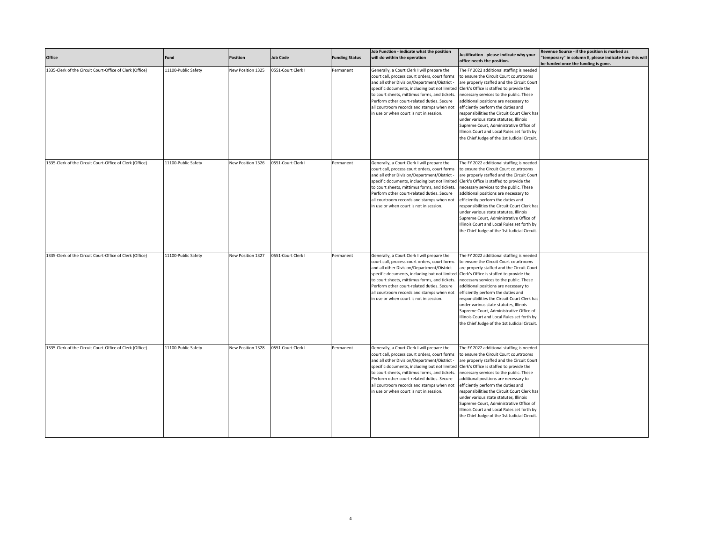| Office                                                   | Fund                | <b>Position</b>   | <b>Job Code</b>    | <b>Funding Status</b> | Job Function - indicate what the position<br>will do within the operation                                                                                                                                                                                                                                                                                                            | Justification - please indicate why your<br>office needs the position.                                                                                                                                                                                                                                                                                                                                                                                                                                                                     | Revenue Source - if the position is marked as<br>"temporary" in column E, please indicate how this will<br>be funded once the funding is gone. |
|----------------------------------------------------------|---------------------|-------------------|--------------------|-----------------------|--------------------------------------------------------------------------------------------------------------------------------------------------------------------------------------------------------------------------------------------------------------------------------------------------------------------------------------------------------------------------------------|--------------------------------------------------------------------------------------------------------------------------------------------------------------------------------------------------------------------------------------------------------------------------------------------------------------------------------------------------------------------------------------------------------------------------------------------------------------------------------------------------------------------------------------------|------------------------------------------------------------------------------------------------------------------------------------------------|
| 1335-Clerk of the Circuit Court-Office of Clerk (Office) | 11100-Public Safety | New Position 1325 | 0551-Court Clerk I | Permanent             | Generally, a Court Clerk I will prepare the<br>court call, process court orders, court forms<br>and all other Division/Department/District -<br>specific documents, including but not limited<br>to court sheets, mittimus forms, and tickets.<br>Perform other court-related duties. Secure<br>all courtroom records and stamps when not<br>in use or when court is not in session. | The FY 2022 additional staffing is needed<br>to ensure the Circuit Court courtrooms<br>are properly staffed and the Circuit Court<br>Clerk's Office is staffed to provide the<br>necessary services to the public. These<br>additional positions are necessary to<br>efficiently perform the duties and<br>responsibilities the Circuit Court Clerk has<br>under various state statutes, Illinois<br>Supreme Court, Administrative Office of<br>Illinois Court and Local Rules set forth by<br>the Chief Judge of the 1st Judicial Circuit |                                                                                                                                                |
| 1335-Clerk of the Circuit Court-Office of Clerk (Office) | 11100-Public Safety | New Position 1326 | 0551-Court Clerk I | Permanent             | Generally, a Court Clerk I will prepare the<br>court call, process court orders, court forms<br>and all other Division/Department/District -<br>specific documents, including but not limited<br>to court sheets, mittimus forms, and tickets.<br>Perform other court-related duties. Secure<br>all courtroom records and stamps when not<br>in use or when court is not in session. | The FY 2022 additional staffing is needed<br>to ensure the Circuit Court courtrooms<br>are properly staffed and the Circuit Court<br>Clerk's Office is staffed to provide the<br>necessary services to the public. These<br>additional positions are necessary to<br>efficiently perform the duties and<br>responsibilities the Circuit Court Clerk has<br>under various state statutes, Illinois<br>Supreme Court, Administrative Office of<br>Illinois Court and Local Rules set forth by<br>the Chief Judge of the 1st Judicial Circuit |                                                                                                                                                |
| 1335-Clerk of the Circuit Court-Office of Clerk (Office) | 11100-Public Safety | New Position 1327 | 0551-Court Clerk I | Permanent             | Generally, a Court Clerk I will prepare the<br>court call, process court orders, court forms<br>and all other Division/Department/District -<br>specific documents, including but not limited<br>to court sheets, mittimus forms, and tickets.<br>Perform other court-related duties. Secure<br>all courtroom records and stamps when not<br>in use or when court is not in session. | The FY 2022 additional staffing is needed<br>to ensure the Circuit Court courtrooms<br>are properly staffed and the Circuit Court<br>Clerk's Office is staffed to provide the<br>necessary services to the public. These<br>additional positions are necessary to<br>efficiently perform the duties and<br>responsibilities the Circuit Court Clerk has<br>under various state statutes, Illinois<br>Supreme Court, Administrative Office of<br>Illinois Court and Local Rules set forth by<br>the Chief Judge of the 1st Judicial Circuit |                                                                                                                                                |
| 1335-Clerk of the Circuit Court-Office of Clerk (Office) | 11100-Public Safety | New Position 1328 | 0551-Court Clerk I | Permanent             | Generally, a Court Clerk I will prepare the<br>court call, process court orders, court forms<br>and all other Division/Department/District -<br>specific documents, including but not limited<br>to court sheets, mittimus forms, and tickets.<br>Perform other court-related duties. Secure<br>all courtroom records and stamps when not<br>in use or when court is not in session. | The FY 2022 additional staffing is needed<br>to ensure the Circuit Court courtrooms<br>are properly staffed and the Circuit Court<br>Clerk's Office is staffed to provide the<br>necessary services to the public. These<br>additional positions are necessary to<br>efficiently perform the duties and<br>responsibilities the Circuit Court Clerk has<br>under various state statutes, Illinois<br>Supreme Court, Administrative Office of<br>Illinois Court and Local Rules set forth by<br>the Chief Judge of the 1st Judicial Circuit |                                                                                                                                                |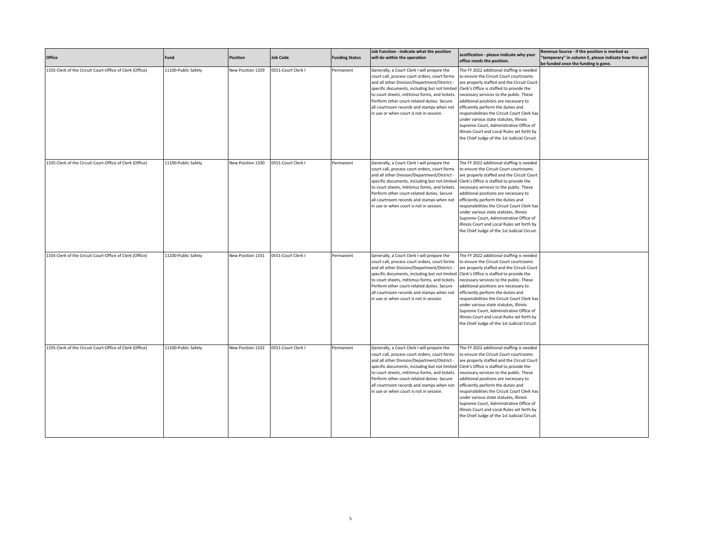| Office                                                   | Fund                | <b>Position</b>   | <b>Job Code</b>    | <b>Funding Status</b> | Job Function - indicate what the position<br>will do within the operation                                                                                                                                                                                                                                                                                                            | Justification - please indicate why your<br>office needs the position.                                                                                                                                                                                                                                                                                                                                                                                                                                                                     | Revenue Source - if the position is marked as<br>"temporary" in column E, please indicate how this will<br>be funded once the funding is gone. |
|----------------------------------------------------------|---------------------|-------------------|--------------------|-----------------------|--------------------------------------------------------------------------------------------------------------------------------------------------------------------------------------------------------------------------------------------------------------------------------------------------------------------------------------------------------------------------------------|--------------------------------------------------------------------------------------------------------------------------------------------------------------------------------------------------------------------------------------------------------------------------------------------------------------------------------------------------------------------------------------------------------------------------------------------------------------------------------------------------------------------------------------------|------------------------------------------------------------------------------------------------------------------------------------------------|
| 1335-Clerk of the Circuit Court-Office of Clerk (Office) | 11100-Public Safety | New Position 1329 | 0551-Court Clerk I | Permanent             | Generally, a Court Clerk I will prepare the<br>court call, process court orders, court forms<br>and all other Division/Department/District -<br>specific documents, including but not limited<br>to court sheets, mittimus forms, and tickets.<br>Perform other court-related duties. Secure<br>all courtroom records and stamps when not<br>in use or when court is not in session. | The FY 2022 additional staffing is needed<br>to ensure the Circuit Court courtrooms<br>are properly staffed and the Circuit Court<br>Clerk's Office is staffed to provide the<br>necessary services to the public. These<br>additional positions are necessary to<br>efficiently perform the duties and<br>responsibilities the Circuit Court Clerk has<br>under various state statutes, Illinois<br>Supreme Court, Administrative Office of<br>Illinois Court and Local Rules set forth by<br>the Chief Judge of the 1st Judicial Circuit |                                                                                                                                                |
| 1335-Clerk of the Circuit Court-Office of Clerk (Office) | 11100-Public Safety | New Position 1330 | 0551-Court Clerk I | Permanent             | Generally, a Court Clerk I will prepare the<br>court call, process court orders, court forms<br>and all other Division/Department/District -<br>specific documents, including but not limited<br>to court sheets, mittimus forms, and tickets.<br>Perform other court-related duties. Secure<br>all courtroom records and stamps when not<br>in use or when court is not in session. | The FY 2022 additional staffing is needed<br>to ensure the Circuit Court courtrooms<br>are properly staffed and the Circuit Court<br>Clerk's Office is staffed to provide the<br>necessary services to the public. These<br>additional positions are necessary to<br>efficiently perform the duties and<br>responsibilities the Circuit Court Clerk has<br>under various state statutes, Illinois<br>Supreme Court, Administrative Office of<br>Illinois Court and Local Rules set forth by<br>the Chief Judge of the 1st Judicial Circuit |                                                                                                                                                |
| 1335-Clerk of the Circuit Court-Office of Clerk (Office) | 11100-Public Safety | New Position 1331 | 0551-Court Clerk I | Permanent             | Generally, a Court Clerk I will prepare the<br>court call, process court orders, court forms<br>and all other Division/Department/District -<br>specific documents, including but not limited<br>to court sheets, mittimus forms, and tickets.<br>Perform other court-related duties. Secure<br>all courtroom records and stamps when not<br>in use or when court is not in session. | The FY 2022 additional staffing is needed<br>to ensure the Circuit Court courtrooms<br>are properly staffed and the Circuit Court<br>Clerk's Office is staffed to provide the<br>necessary services to the public. These<br>additional positions are necessary to<br>efficiently perform the duties and<br>responsibilities the Circuit Court Clerk has<br>under various state statutes, Illinois<br>Supreme Court, Administrative Office of<br>Illinois Court and Local Rules set forth by<br>the Chief Judge of the 1st Judicial Circuit |                                                                                                                                                |
| 1335-Clerk of the Circuit Court-Office of Clerk (Office) | 11100-Public Safety | New Position 1332 | 0551-Court Clerk I | Permanent             | Generally, a Court Clerk I will prepare the<br>court call, process court orders, court forms<br>and all other Division/Department/District -<br>specific documents, including but not limited<br>to court sheets, mittimus forms, and tickets.<br>Perform other court-related duties. Secure<br>all courtroom records and stamps when not<br>in use or when court is not in session. | The FY 2022 additional staffing is needed<br>to ensure the Circuit Court courtrooms<br>are properly staffed and the Circuit Court<br>Clerk's Office is staffed to provide the<br>necessary services to the public. These<br>additional positions are necessary to<br>efficiently perform the duties and<br>responsibilities the Circuit Court Clerk has<br>under various state statutes, Illinois<br>Supreme Court, Administrative Office of<br>Illinois Court and Local Rules set forth by<br>the Chief Judge of the 1st Judicial Circuit |                                                                                                                                                |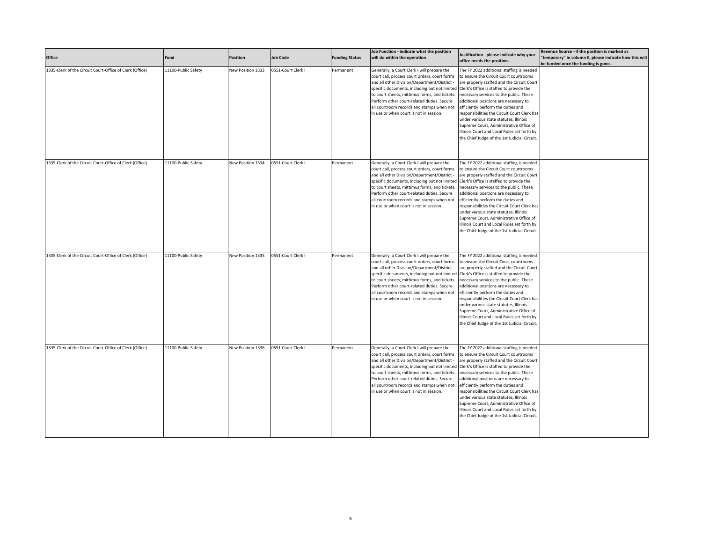| Office                                                   | Fund                | <b>Position</b>   | <b>Job Code</b>    | <b>Funding Status</b> | Job Function - indicate what the position<br>will do within the operation                                                                                                                                                                                                                                                                                                            | Justification - please indicate why your<br>office needs the position.                                                                                                                                                                                                                                                                                                                                                                                                                                                                     | Revenue Source - if the position is marked as<br>"temporary" in column E, please indicate how this will<br>be funded once the funding is gone. |
|----------------------------------------------------------|---------------------|-------------------|--------------------|-----------------------|--------------------------------------------------------------------------------------------------------------------------------------------------------------------------------------------------------------------------------------------------------------------------------------------------------------------------------------------------------------------------------------|--------------------------------------------------------------------------------------------------------------------------------------------------------------------------------------------------------------------------------------------------------------------------------------------------------------------------------------------------------------------------------------------------------------------------------------------------------------------------------------------------------------------------------------------|------------------------------------------------------------------------------------------------------------------------------------------------|
| 1335-Clerk of the Circuit Court-Office of Clerk (Office) | 11100-Public Safety | New Position 1333 | 0551-Court Clerk I | Permanent             | Generally, a Court Clerk I will prepare the<br>court call, process court orders, court forms<br>and all other Division/Department/District -<br>specific documents, including but not limited<br>to court sheets, mittimus forms, and tickets.<br>Perform other court-related duties. Secure<br>all courtroom records and stamps when not<br>in use or when court is not in session. | The FY 2022 additional staffing is needed<br>to ensure the Circuit Court courtrooms<br>are properly staffed and the Circuit Court<br>Clerk's Office is staffed to provide the<br>necessary services to the public. These<br>additional positions are necessary to<br>efficiently perform the duties and<br>responsibilities the Circuit Court Clerk has<br>under various state statutes, Illinois<br>Supreme Court, Administrative Office of<br>Illinois Court and Local Rules set forth by<br>the Chief Judge of the 1st Judicial Circuit |                                                                                                                                                |
| 1335-Clerk of the Circuit Court-Office of Clerk (Office) | 11100-Public Safety | New Position 1334 | 0551-Court Clerk I | Permanent             | Generally, a Court Clerk I will prepare the<br>court call, process court orders, court forms<br>and all other Division/Department/District -<br>specific documents, including but not limited<br>to court sheets, mittimus forms, and tickets.<br>Perform other court-related duties. Secure<br>all courtroom records and stamps when not<br>in use or when court is not in session. | The FY 2022 additional staffing is needed<br>to ensure the Circuit Court courtrooms<br>are properly staffed and the Circuit Court<br>Clerk's Office is staffed to provide the<br>necessary services to the public. These<br>additional positions are necessary to<br>efficiently perform the duties and<br>responsibilities the Circuit Court Clerk has<br>under various state statutes, Illinois<br>Supreme Court, Administrative Office of<br>Illinois Court and Local Rules set forth by<br>the Chief Judge of the 1st Judicial Circuit |                                                                                                                                                |
| 1335-Clerk of the Circuit Court-Office of Clerk (Office) | 11100-Public Safety | New Position 1335 | 0551-Court Clerk I | Permanent             | Generally, a Court Clerk I will prepare the<br>court call, process court orders, court forms<br>and all other Division/Department/District -<br>specific documents, including but not limited<br>to court sheets, mittimus forms, and tickets.<br>Perform other court-related duties. Secure<br>all courtroom records and stamps when not<br>in use or when court is not in session. | The FY 2022 additional staffing is needed<br>to ensure the Circuit Court courtrooms<br>are properly staffed and the Circuit Court<br>Clerk's Office is staffed to provide the<br>necessary services to the public. These<br>additional positions are necessary to<br>efficiently perform the duties and<br>responsibilities the Circuit Court Clerk has<br>under various state statutes, Illinois<br>Supreme Court, Administrative Office of<br>Illinois Court and Local Rules set forth by<br>the Chief Judge of the 1st Judicial Circuit |                                                                                                                                                |
| 1335-Clerk of the Circuit Court-Office of Clerk (Office) | 11100-Public Safety | New Position 1336 | 0551-Court Clerk I | Permanent             | Generally, a Court Clerk I will prepare the<br>court call, process court orders, court forms<br>and all other Division/Department/District -<br>specific documents, including but not limited<br>to court sheets, mittimus forms, and tickets.<br>Perform other court-related duties. Secure<br>all courtroom records and stamps when not<br>in use or when court is not in session. | The FY 2022 additional staffing is needed<br>to ensure the Circuit Court courtrooms<br>are properly staffed and the Circuit Court<br>Clerk's Office is staffed to provide the<br>necessary services to the public. These<br>additional positions are necessary to<br>efficiently perform the duties and<br>responsibilities the Circuit Court Clerk has<br>under various state statutes, Illinois<br>Supreme Court, Administrative Office of<br>Illinois Court and Local Rules set forth by<br>the Chief Judge of the 1st Judicial Circuit |                                                                                                                                                |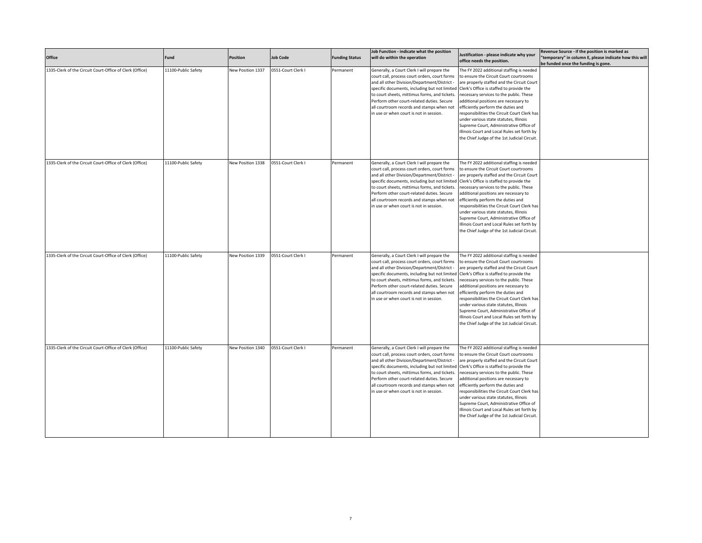| Office                                                   | Fund                | <b>Position</b>   | <b>Job Code</b>    | <b>Funding Status</b> | Job Function - indicate what the position<br>will do within the operation                                                                                                                                                                                                                                                                                                            | Justification - please indicate why your<br>office needs the position.                                                                                                                                                                                                                                                                                                                                                                                                                                                                     | Revenue Source - if the position is marked as<br>"temporary" in column E, please indicate how this will<br>be funded once the funding is gone. |
|----------------------------------------------------------|---------------------|-------------------|--------------------|-----------------------|--------------------------------------------------------------------------------------------------------------------------------------------------------------------------------------------------------------------------------------------------------------------------------------------------------------------------------------------------------------------------------------|--------------------------------------------------------------------------------------------------------------------------------------------------------------------------------------------------------------------------------------------------------------------------------------------------------------------------------------------------------------------------------------------------------------------------------------------------------------------------------------------------------------------------------------------|------------------------------------------------------------------------------------------------------------------------------------------------|
| 1335-Clerk of the Circuit Court-Office of Clerk (Office) | 11100-Public Safety | New Position 1337 | 0551-Court Clerk I | Permanent             | Generally, a Court Clerk I will prepare the<br>court call, process court orders, court forms<br>and all other Division/Department/District -<br>specific documents, including but not limited<br>to court sheets, mittimus forms, and tickets.<br>Perform other court-related duties. Secure<br>all courtroom records and stamps when not<br>in use or when court is not in session. | The FY 2022 additional staffing is needed<br>to ensure the Circuit Court courtrooms<br>are properly staffed and the Circuit Court<br>Clerk's Office is staffed to provide the<br>necessary services to the public. These<br>additional positions are necessary to<br>efficiently perform the duties and<br>responsibilities the Circuit Court Clerk has<br>under various state statutes, Illinois<br>Supreme Court, Administrative Office of<br>Illinois Court and Local Rules set forth by<br>the Chief Judge of the 1st Judicial Circuit |                                                                                                                                                |
| 1335-Clerk of the Circuit Court-Office of Clerk (Office) | 11100-Public Safety | New Position 1338 | 0551-Court Clerk I | Permanent             | Generally, a Court Clerk I will prepare the<br>court call, process court orders, court forms<br>and all other Division/Department/District -<br>specific documents, including but not limited<br>to court sheets, mittimus forms, and tickets.<br>Perform other court-related duties. Secure<br>all courtroom records and stamps when not<br>in use or when court is not in session. | The FY 2022 additional staffing is needed<br>to ensure the Circuit Court courtrooms<br>are properly staffed and the Circuit Court<br>Clerk's Office is staffed to provide the<br>necessary services to the public. These<br>additional positions are necessary to<br>efficiently perform the duties and<br>responsibilities the Circuit Court Clerk has<br>under various state statutes, Illinois<br>Supreme Court, Administrative Office of<br>Illinois Court and Local Rules set forth by<br>the Chief Judge of the 1st Judicial Circuit |                                                                                                                                                |
| 1335-Clerk of the Circuit Court-Office of Clerk (Office) | 11100-Public Safety | New Position 1339 | 0551-Court Clerk I | Permanent             | Generally, a Court Clerk I will prepare the<br>court call, process court orders, court forms<br>and all other Division/Department/District -<br>specific documents, including but not limited<br>to court sheets, mittimus forms, and tickets.<br>Perform other court-related duties. Secure<br>all courtroom records and stamps when not<br>in use or when court is not in session. | The FY 2022 additional staffing is needed<br>to ensure the Circuit Court courtrooms<br>are properly staffed and the Circuit Court<br>Clerk's Office is staffed to provide the<br>necessary services to the public. These<br>additional positions are necessary to<br>efficiently perform the duties and<br>responsibilities the Circuit Court Clerk has<br>under various state statutes, Illinois<br>Supreme Court, Administrative Office of<br>Illinois Court and Local Rules set forth by<br>the Chief Judge of the 1st Judicial Circuit |                                                                                                                                                |
| 1335-Clerk of the Circuit Court-Office of Clerk (Office) | 11100-Public Safety | New Position 1340 | 0551-Court Clerk I | Permanent             | Generally, a Court Clerk I will prepare the<br>court call, process court orders, court forms<br>and all other Division/Department/District -<br>specific documents, including but not limited<br>to court sheets, mittimus forms, and tickets.<br>Perform other court-related duties. Secure<br>all courtroom records and stamps when not<br>in use or when court is not in session. | The FY 2022 additional staffing is needed<br>to ensure the Circuit Court courtrooms<br>are properly staffed and the Circuit Court<br>Clerk's Office is staffed to provide the<br>necessary services to the public. These<br>additional positions are necessary to<br>efficiently perform the duties and<br>responsibilities the Circuit Court Clerk has<br>under various state statutes, Illinois<br>Supreme Court, Administrative Office of<br>Illinois Court and Local Rules set forth by<br>the Chief Judge of the 1st Judicial Circuit |                                                                                                                                                |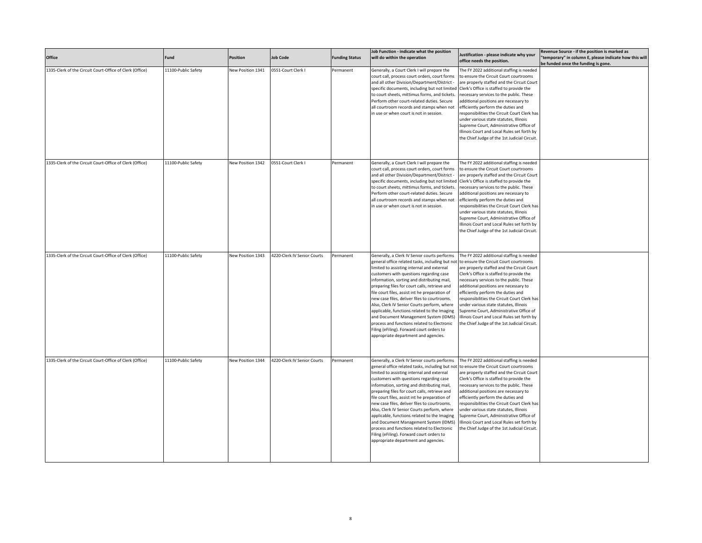| Office                                                   | Fund                | Position          | <b>Job Code</b>             | <b>Funding Status</b> | Job Function - indicate what the position<br>will do within the operation                                                                                                                                                                                                                                                                                                                                                                                                                                                                                                                                                                                              | Justification - please indicate why your<br>office needs the position.                                                                                                                                                                                                                                                                                                                                                                                                                                                                      | Revenue Source - if the position is marked as<br>"temporary" in column E, please indicate how this will<br>be funded once the funding is gone. |
|----------------------------------------------------------|---------------------|-------------------|-----------------------------|-----------------------|------------------------------------------------------------------------------------------------------------------------------------------------------------------------------------------------------------------------------------------------------------------------------------------------------------------------------------------------------------------------------------------------------------------------------------------------------------------------------------------------------------------------------------------------------------------------------------------------------------------------------------------------------------------------|---------------------------------------------------------------------------------------------------------------------------------------------------------------------------------------------------------------------------------------------------------------------------------------------------------------------------------------------------------------------------------------------------------------------------------------------------------------------------------------------------------------------------------------------|------------------------------------------------------------------------------------------------------------------------------------------------|
| 1335-Clerk of the Circuit Court-Office of Clerk (Office) | 11100-Public Safety | New Position 1341 | 0551-Court Clerk I          | Permanent             | Generally, a Court Clerk I will prepare the<br>court call, process court orders, court forms<br>and all other Division/Department/District -<br>specific documents, including but not limited<br>to court sheets, mittimus forms, and tickets.<br>Perform other court-related duties. Secure<br>all courtroom records and stamps when not<br>in use or when court is not in session.                                                                                                                                                                                                                                                                                   | The FY 2022 additional staffing is needed<br>to ensure the Circuit Court courtrooms<br>are properly staffed and the Circuit Court<br>Clerk's Office is staffed to provide the<br>necessary services to the public. These<br>additional positions are necessary to<br>efficiently perform the duties and<br>responsibilities the Circuit Court Clerk has<br>under various state statutes, Illinois<br>Supreme Court, Administrative Office of<br>Illinois Court and Local Rules set forth by<br>the Chief Judge of the 1st Judicial Circuit. |                                                                                                                                                |
| 1335-Clerk of the Circuit Court-Office of Clerk (Office) | 11100-Public Safety | New Position 1342 | 0551-Court Clerk I          | Permanent             | Generally, a Court Clerk I will prepare the<br>court call, process court orders, court forms<br>and all other Division/Department/District -<br>specific documents, including but not limited<br>to court sheets, mittimus forms, and tickets.<br>Perform other court-related duties. Secure<br>all courtroom records and stamps when not<br>in use or when court is not in session.                                                                                                                                                                                                                                                                                   | The FY 2022 additional staffing is needed<br>to ensure the Circuit Court courtrooms<br>are properly staffed and the Circuit Court<br>Clerk's Office is staffed to provide the<br>necessary services to the public. These<br>additional positions are necessary to<br>efficiently perform the duties and<br>responsibilities the Circuit Court Clerk has<br>under various state statutes, Illinois<br>Supreme Court, Administrative Office of<br>Illinois Court and Local Rules set forth by<br>the Chief Judge of the 1st Judicial Circuit  |                                                                                                                                                |
| 1335-Clerk of the Circuit Court-Office of Clerk (Office) | 11100-Public Safety | New Position 1343 | 4220-Clerk IV Senior Courts | Permanent             | Generally, a Clerk IV Senior courts performs<br>general office related tasks, including but not<br>limited to assisting internal and external<br>customers with questions regarding case<br>information, sorting and distributing mail,<br>preparing files for court calls, retrieve and<br>file court files, assist int he preparation of<br>new case files, deliver files to courtrooms.<br>Also, Clerk IV Senior Courts perform, where<br>applicable, functions related to the Imaging<br>and Document Management System (IDMS)<br>process and functions related to Electronic<br>Filing (eFiling). Forward court orders to<br>appropriate department and agencies. | The FY 2022 additional staffing is needed<br>to ensure the Circuit Court courtrooms<br>are properly staffed and the Circuit Court<br>Clerk's Office is staffed to provide the<br>necessary services to the public. These<br>additional positions are necessary to<br>efficiently perform the duties and<br>responsibilities the Circuit Court Clerk has<br>under various state statutes, Illinois<br>Supreme Court, Administrative Office of<br>Illinois Court and Local Rules set forth by<br>the Chief Judge of the 1st Judicial Circuit. |                                                                                                                                                |
| 1335-Clerk of the Circuit Court-Office of Clerk (Office) | 11100-Public Safety | New Position 1344 | 4220-Clerk IV Senior Courts | Permanent             | Generally, a Clerk IV Senior courts performs<br>general office related tasks, including but not<br>limited to assisting internal and external<br>customers with questions regarding case<br>information, sorting and distributing mail,<br>preparing files for court calls, retrieve and<br>file court files, assist int he preparation of<br>new case files, deliver files to courtrooms.<br>Also, Clerk IV Senior Courts perform, where<br>applicable, functions related to the Imaging<br>and Document Management System (IDMS)<br>process and functions related to Electronic<br>Filing (eFiling). Forward court orders to<br>appropriate department and agencies. | The FY 2022 additional staffing is needed<br>to ensure the Circuit Court courtrooms<br>are properly staffed and the Circuit Court<br>Clerk's Office is staffed to provide the<br>necessary services to the public. These<br>additional positions are necessary to<br>efficiently perform the duties and<br>responsibilities the Circuit Court Clerk has<br>under various state statutes, Illinois<br>Supreme Court, Administrative Office of<br>Illinois Court and Local Rules set forth by<br>the Chief Judge of the 1st Judicial Circuit. |                                                                                                                                                |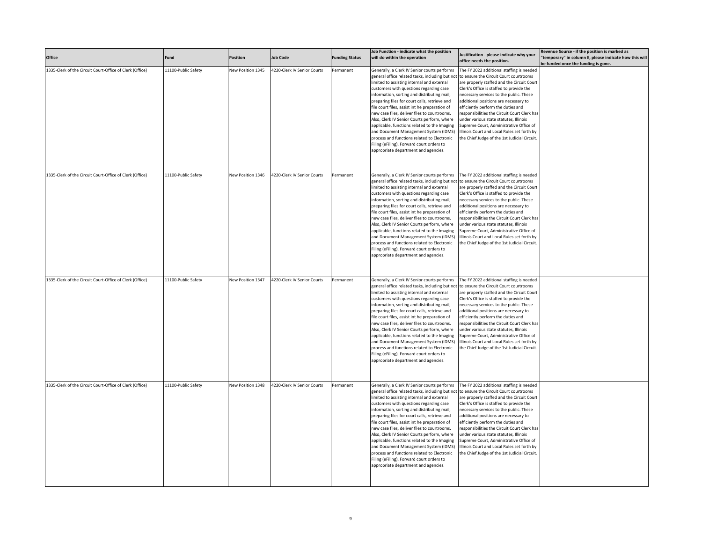| Office                                                   | Fund                | Position          | <b>Job Code</b>             | <b>Funding Status</b> | Job Function - indicate what the position<br>will do within the operation                                                                                                                                                                                                                                                                                                                                                                                                                                                                                                                                                                                              | Justification - please indicate why your<br>office needs the position.                                                                                                                                                                                                                                                                                                                                                                                                                                                                      | Revenue Source - if the position is marked as<br>"temporary" in column E, please indicate how this will<br>be funded once the funding is gone. |
|----------------------------------------------------------|---------------------|-------------------|-----------------------------|-----------------------|------------------------------------------------------------------------------------------------------------------------------------------------------------------------------------------------------------------------------------------------------------------------------------------------------------------------------------------------------------------------------------------------------------------------------------------------------------------------------------------------------------------------------------------------------------------------------------------------------------------------------------------------------------------------|---------------------------------------------------------------------------------------------------------------------------------------------------------------------------------------------------------------------------------------------------------------------------------------------------------------------------------------------------------------------------------------------------------------------------------------------------------------------------------------------------------------------------------------------|------------------------------------------------------------------------------------------------------------------------------------------------|
| 1335-Clerk of the Circuit Court-Office of Clerk (Office) | 11100-Public Safety | New Position 1345 | 4220-Clerk IV Senior Courts | Permanent             | Generally, a Clerk IV Senior courts performs<br>general office related tasks, including but not<br>limited to assisting internal and external<br>customers with questions regarding case<br>information, sorting and distributing mail,<br>preparing files for court calls, retrieve and<br>file court files, assist int he preparation of<br>new case files, deliver files to courtrooms.<br>Also, Clerk IV Senior Courts perform, where<br>applicable, functions related to the Imaging<br>and Document Management System (IDMS)<br>process and functions related to Electronic<br>Filing (eFiling). Forward court orders to<br>appropriate department and agencies. | The FY 2022 additional staffing is needed<br>to ensure the Circuit Court courtrooms<br>are properly staffed and the Circuit Court<br>Clerk's Office is staffed to provide the<br>necessary services to the public. These<br>additional positions are necessary to<br>efficiently perform the duties and<br>responsibilities the Circuit Court Clerk has<br>under various state statutes, Illinois<br>Supreme Court, Administrative Office of<br>Illinois Court and Local Rules set forth by<br>the Chief Judge of the 1st Judicial Circuit. |                                                                                                                                                |
| 1335-Clerk of the Circuit Court-Office of Clerk (Office) | 11100-Public Safety | New Position 1346 | 4220-Clerk IV Senior Courts | Permanent             | Generally, a Clerk IV Senior courts performs<br>general office related tasks, including but not<br>limited to assisting internal and external<br>customers with questions regarding case<br>information, sorting and distributing mail,<br>preparing files for court calls, retrieve and<br>file court files, assist int he preparation of<br>new case files, deliver files to courtrooms.<br>Also, Clerk IV Senior Courts perform, where<br>applicable, functions related to the Imaging<br>and Document Management System (IDMS)<br>process and functions related to Electronic<br>Filing (eFiling). Forward court orders to<br>appropriate department and agencies. | The FY 2022 additional staffing is needed<br>to ensure the Circuit Court courtrooms<br>are properly staffed and the Circuit Court<br>Clerk's Office is staffed to provide the<br>necessary services to the public. These<br>additional positions are necessary to<br>efficiently perform the duties and<br>responsibilities the Circuit Court Clerk has<br>under various state statutes, Illinois<br>Supreme Court, Administrative Office of<br>Illinois Court and Local Rules set forth by<br>the Chief Judge of the 1st Judicial Circuit. |                                                                                                                                                |
| 1335-Clerk of the Circuit Court-Office of Clerk (Office) | 11100-Public Safety | New Position 1347 | 4220-Clerk IV Senior Courts | Permanent             | Generally, a Clerk IV Senior courts performs<br>general office related tasks, including but not<br>limited to assisting internal and external<br>customers with questions regarding case<br>information, sorting and distributing mail,<br>preparing files for court calls, retrieve and<br>file court files, assist int he preparation of<br>new case files, deliver files to courtrooms.<br>Also, Clerk IV Senior Courts perform, where<br>applicable, functions related to the Imaging<br>and Document Management System (IDMS)<br>process and functions related to Electronic<br>Filing (eFiling). Forward court orders to<br>appropriate department and agencies. | The FY 2022 additional staffing is needed<br>to ensure the Circuit Court courtrooms<br>are properly staffed and the Circuit Court<br>Clerk's Office is staffed to provide the<br>necessary services to the public. These<br>additional positions are necessary to<br>efficiently perform the duties and<br>responsibilities the Circuit Court Clerk has<br>under various state statutes, Illinois<br>Supreme Court, Administrative Office of<br>Illinois Court and Local Rules set forth by<br>the Chief Judge of the 1st Judicial Circuit. |                                                                                                                                                |
| 1335-Clerk of the Circuit Court-Office of Clerk (Office) | 11100-Public Safety | New Position 1348 | 4220-Clerk IV Senior Courts | Permanent             | Generally, a Clerk IV Senior courts performs<br>general office related tasks, including but not<br>limited to assisting internal and external<br>customers with questions regarding case<br>information, sorting and distributing mail,<br>preparing files for court calls, retrieve and<br>file court files, assist int he preparation of<br>new case files, deliver files to courtrooms.<br>Also, Clerk IV Senior Courts perform, where<br>applicable, functions related to the Imaging<br>and Document Management System (IDMS)<br>process and functions related to Electronic<br>Filing (eFiling). Forward court orders to<br>appropriate department and agencies. | The FY 2022 additional staffing is needed<br>to ensure the Circuit Court courtrooms<br>are properly staffed and the Circuit Court<br>Clerk's Office is staffed to provide the<br>necessary services to the public. These<br>additional positions are necessary to<br>efficiently perform the duties and<br>responsibilities the Circuit Court Clerk has<br>under various state statutes, Illinois<br>Supreme Court, Administrative Office of<br>Illinois Court and Local Rules set forth by<br>the Chief Judge of the 1st Judicial Circuit  |                                                                                                                                                |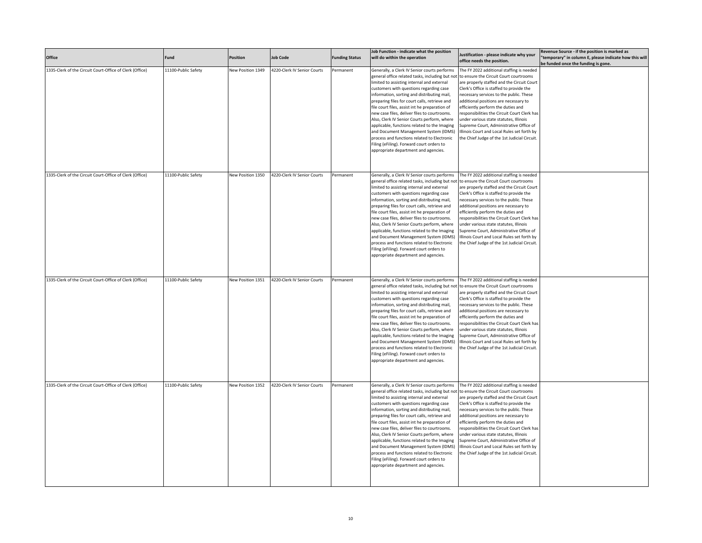| Office                                                   | Fund                | Position          | <b>Job Code</b>             | <b>Funding Status</b> | Job Function - indicate what the position<br>will do within the operation                                                                                                                                                                                                                                                                                                                                                                                                                                                                                                                                                                                              | Justification - please indicate why your<br>office needs the position.                                                                                                                                                                                                                                                                                                                                                                                                                                                                      | Revenue Source - if the position is marked as<br>"temporary" in column E, please indicate how this will<br>be funded once the funding is gone. |
|----------------------------------------------------------|---------------------|-------------------|-----------------------------|-----------------------|------------------------------------------------------------------------------------------------------------------------------------------------------------------------------------------------------------------------------------------------------------------------------------------------------------------------------------------------------------------------------------------------------------------------------------------------------------------------------------------------------------------------------------------------------------------------------------------------------------------------------------------------------------------------|---------------------------------------------------------------------------------------------------------------------------------------------------------------------------------------------------------------------------------------------------------------------------------------------------------------------------------------------------------------------------------------------------------------------------------------------------------------------------------------------------------------------------------------------|------------------------------------------------------------------------------------------------------------------------------------------------|
| 1335-Clerk of the Circuit Court-Office of Clerk (Office) | 11100-Public Safety | New Position 1349 | 4220-Clerk IV Senior Courts | Permanent             | Generally, a Clerk IV Senior courts performs<br>general office related tasks, including but not<br>limited to assisting internal and external<br>customers with questions regarding case<br>information, sorting and distributing mail,<br>preparing files for court calls, retrieve and<br>file court files, assist int he preparation of<br>new case files, deliver files to courtrooms.<br>Also, Clerk IV Senior Courts perform, where<br>applicable, functions related to the Imaging<br>and Document Management System (IDMS)<br>process and functions related to Electronic<br>Filing (eFiling). Forward court orders to<br>appropriate department and agencies. | The FY 2022 additional staffing is needed<br>to ensure the Circuit Court courtrooms<br>are properly staffed and the Circuit Court<br>Clerk's Office is staffed to provide the<br>necessary services to the public. These<br>additional positions are necessary to<br>efficiently perform the duties and<br>responsibilities the Circuit Court Clerk has<br>under various state statutes, Illinois<br>Supreme Court, Administrative Office of<br>Illinois Court and Local Rules set forth by<br>the Chief Judge of the 1st Judicial Circuit. |                                                                                                                                                |
| 1335-Clerk of the Circuit Court-Office of Clerk (Office) | 11100-Public Safety | New Position 1350 | 4220-Clerk IV Senior Courts | Permanent             | Generally, a Clerk IV Senior courts performs<br>general office related tasks, including but not<br>limited to assisting internal and external<br>customers with questions regarding case<br>information, sorting and distributing mail,<br>preparing files for court calls, retrieve and<br>file court files, assist int he preparation of<br>new case files, deliver files to courtrooms.<br>Also, Clerk IV Senior Courts perform, where<br>applicable, functions related to the Imaging<br>and Document Management System (IDMS)<br>process and functions related to Electronic<br>Filing (eFiling). Forward court orders to<br>appropriate department and agencies. | The FY 2022 additional staffing is needed<br>to ensure the Circuit Court courtrooms<br>are properly staffed and the Circuit Court<br>Clerk's Office is staffed to provide the<br>necessary services to the public. These<br>additional positions are necessary to<br>efficiently perform the duties and<br>responsibilities the Circuit Court Clerk has<br>under various state statutes, Illinois<br>Supreme Court, Administrative Office of<br>Illinois Court and Local Rules set forth by<br>the Chief Judge of the 1st Judicial Circuit. |                                                                                                                                                |
| 1335-Clerk of the Circuit Court-Office of Clerk (Office) | 11100-Public Safety | New Position 1351 | 4220-Clerk IV Senior Courts | Permanent             | Generally, a Clerk IV Senior courts performs<br>general office related tasks, including but not<br>limited to assisting internal and external<br>customers with questions regarding case<br>information, sorting and distributing mail,<br>preparing files for court calls, retrieve and<br>file court files, assist int he preparation of<br>new case files, deliver files to courtrooms.<br>Also, Clerk IV Senior Courts perform, where<br>applicable, functions related to the Imaging<br>and Document Management System (IDMS)<br>process and functions related to Electronic<br>Filing (eFiling). Forward court orders to<br>appropriate department and agencies. | The FY 2022 additional staffing is needed<br>to ensure the Circuit Court courtrooms<br>are properly staffed and the Circuit Court<br>Clerk's Office is staffed to provide the<br>necessary services to the public. These<br>additional positions are necessary to<br>efficiently perform the duties and<br>responsibilities the Circuit Court Clerk has<br>under various state statutes, Illinois<br>Supreme Court, Administrative Office of<br>Illinois Court and Local Rules set forth by<br>the Chief Judge of the 1st Judicial Circuit. |                                                                                                                                                |
| 1335-Clerk of the Circuit Court-Office of Clerk (Office) | 11100-Public Safety | New Position 1352 | 4220-Clerk IV Senior Courts | Permanent             | Generally, a Clerk IV Senior courts performs<br>general office related tasks, including but not<br>limited to assisting internal and external<br>customers with questions regarding case<br>information, sorting and distributing mail,<br>preparing files for court calls, retrieve and<br>file court files, assist int he preparation of<br>new case files, deliver files to courtrooms.<br>Also, Clerk IV Senior Courts perform, where<br>applicable, functions related to the Imaging<br>and Document Management System (IDMS)<br>process and functions related to Electronic<br>Filing (eFiling). Forward court orders to<br>appropriate department and agencies. | The FY 2022 additional staffing is needed<br>to ensure the Circuit Court courtrooms<br>are properly staffed and the Circuit Court<br>Clerk's Office is staffed to provide the<br>necessary services to the public. These<br>additional positions are necessary to<br>efficiently perform the duties and<br>responsibilities the Circuit Court Clerk has<br>under various state statutes, Illinois<br>Supreme Court, Administrative Office of<br>Illinois Court and Local Rules set forth by<br>the Chief Judge of the 1st Judicial Circuit  |                                                                                                                                                |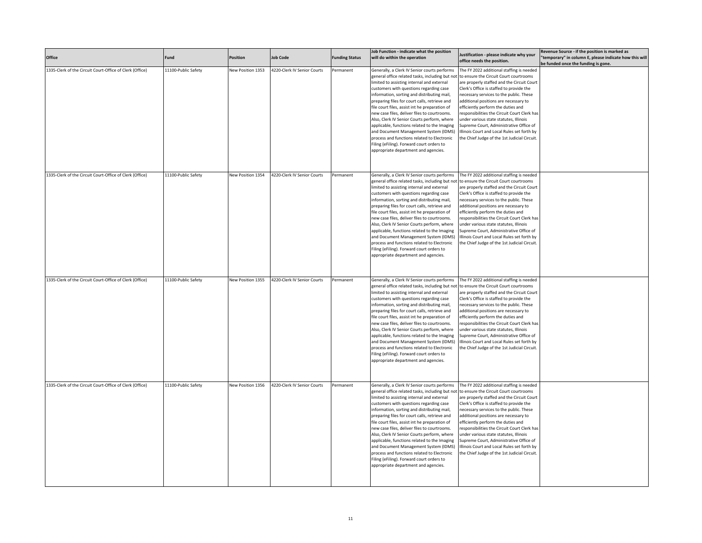| Office                                                   | Fund                | Position          | <b>Job Code</b>             | <b>Funding Status</b> | Job Function - indicate what the position<br>will do within the operation                                                                                                                                                                                                                                                                                                                                                                                                                                                                                                                                                                                              | Justification - please indicate why your<br>office needs the position.                                                                                                                                                                                                                                                                                                                                                                                                                                                                      | Revenue Source - if the position is marked as<br>"temporary" in column E, please indicate how this will<br>be funded once the funding is gone. |
|----------------------------------------------------------|---------------------|-------------------|-----------------------------|-----------------------|------------------------------------------------------------------------------------------------------------------------------------------------------------------------------------------------------------------------------------------------------------------------------------------------------------------------------------------------------------------------------------------------------------------------------------------------------------------------------------------------------------------------------------------------------------------------------------------------------------------------------------------------------------------------|---------------------------------------------------------------------------------------------------------------------------------------------------------------------------------------------------------------------------------------------------------------------------------------------------------------------------------------------------------------------------------------------------------------------------------------------------------------------------------------------------------------------------------------------|------------------------------------------------------------------------------------------------------------------------------------------------|
| 1335-Clerk of the Circuit Court-Office of Clerk (Office) | 11100-Public Safety | New Position 1353 | 4220-Clerk IV Senior Courts | Permanent             | Generally, a Clerk IV Senior courts performs<br>general office related tasks, including but not<br>limited to assisting internal and external<br>customers with questions regarding case<br>information, sorting and distributing mail,<br>preparing files for court calls, retrieve and<br>file court files, assist int he preparation of<br>new case files, deliver files to courtrooms.<br>Also, Clerk IV Senior Courts perform, where<br>applicable, functions related to the Imaging<br>and Document Management System (IDMS)<br>process and functions related to Electronic<br>Filing (eFiling). Forward court orders to<br>appropriate department and agencies. | The FY 2022 additional staffing is needed<br>to ensure the Circuit Court courtrooms<br>are properly staffed and the Circuit Court<br>Clerk's Office is staffed to provide the<br>necessary services to the public. These<br>additional positions are necessary to<br>efficiently perform the duties and<br>responsibilities the Circuit Court Clerk has<br>under various state statutes, Illinois<br>Supreme Court, Administrative Office of<br>Illinois Court and Local Rules set forth by<br>the Chief Judge of the 1st Judicial Circuit. |                                                                                                                                                |
| 1335-Clerk of the Circuit Court-Office of Clerk (Office) | 11100-Public Safety | New Position 1354 | 4220-Clerk IV Senior Courts | Permanent             | Generally, a Clerk IV Senior courts performs<br>general office related tasks, including but not<br>limited to assisting internal and external<br>customers with questions regarding case<br>information, sorting and distributing mail,<br>preparing files for court calls, retrieve and<br>file court files, assist int he preparation of<br>new case files, deliver files to courtrooms.<br>Also, Clerk IV Senior Courts perform, where<br>applicable, functions related to the Imaging<br>and Document Management System (IDMS)<br>process and functions related to Electronic<br>Filing (eFiling). Forward court orders to<br>appropriate department and agencies. | The FY 2022 additional staffing is needed<br>to ensure the Circuit Court courtrooms<br>are properly staffed and the Circuit Court<br>Clerk's Office is staffed to provide the<br>necessary services to the public. These<br>additional positions are necessary to<br>efficiently perform the duties and<br>responsibilities the Circuit Court Clerk has<br>under various state statutes, Illinois<br>Supreme Court, Administrative Office of<br>Illinois Court and Local Rules set forth by<br>the Chief Judge of the 1st Judicial Circuit. |                                                                                                                                                |
| 1335-Clerk of the Circuit Court-Office of Clerk (Office) | 11100-Public Safety | New Position 1355 | 4220-Clerk IV Senior Courts | Permanent             | Generally, a Clerk IV Senior courts performs<br>general office related tasks, including but not<br>limited to assisting internal and external<br>customers with questions regarding case<br>information, sorting and distributing mail,<br>preparing files for court calls, retrieve and<br>file court files, assist int he preparation of<br>new case files, deliver files to courtrooms.<br>Also, Clerk IV Senior Courts perform, where<br>applicable, functions related to the Imaging<br>and Document Management System (IDMS)<br>process and functions related to Electronic<br>Filing (eFiling). Forward court orders to<br>appropriate department and agencies. | The FY 2022 additional staffing is needed<br>to ensure the Circuit Court courtrooms<br>are properly staffed and the Circuit Court<br>Clerk's Office is staffed to provide the<br>necessary services to the public. These<br>additional positions are necessary to<br>efficiently perform the duties and<br>responsibilities the Circuit Court Clerk has<br>under various state statutes, Illinois<br>Supreme Court, Administrative Office of<br>Illinois Court and Local Rules set forth by<br>the Chief Judge of the 1st Judicial Circuit. |                                                                                                                                                |
| 1335-Clerk of the Circuit Court-Office of Clerk (Office) | 11100-Public Safety | New Position 1356 | 4220-Clerk IV Senior Courts | Permanent             | Generally, a Clerk IV Senior courts performs<br>general office related tasks, including but not<br>limited to assisting internal and external<br>customers with questions regarding case<br>information, sorting and distributing mail,<br>preparing files for court calls, retrieve and<br>file court files, assist int he preparation of<br>new case files, deliver files to courtrooms.<br>Also, Clerk IV Senior Courts perform, where<br>applicable, functions related to the Imaging<br>and Document Management System (IDMS)<br>process and functions related to Electronic<br>Filing (eFiling). Forward court orders to<br>appropriate department and agencies. | The FY 2022 additional staffing is needed<br>to ensure the Circuit Court courtrooms<br>are properly staffed and the Circuit Court<br>Clerk's Office is staffed to provide the<br>necessary services to the public. These<br>additional positions are necessary to<br>efficiently perform the duties and<br>responsibilities the Circuit Court Clerk has<br>under various state statutes, Illinois<br>Supreme Court, Administrative Office of<br>Illinois Court and Local Rules set forth by<br>the Chief Judge of the 1st Judicial Circuit  |                                                                                                                                                |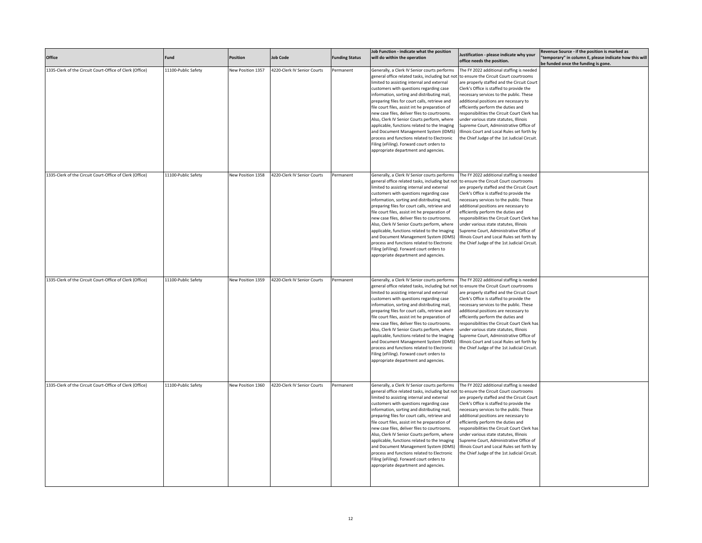| Office                                                   | Fund                | Position          | <b>Job Code</b>             | <b>Funding Status</b> | Job Function - indicate what the position<br>will do within the operation                                                                                                                                                                                                                                                                                                                                                                                                                                                                                                                                                                                              | Justification - please indicate why your<br>office needs the position.                                                                                                                                                                                                                                                                                                                                                                                                                                                                      | Revenue Source - if the position is marked as<br>"temporary" in column E, please indicate how this will<br>be funded once the funding is gone. |
|----------------------------------------------------------|---------------------|-------------------|-----------------------------|-----------------------|------------------------------------------------------------------------------------------------------------------------------------------------------------------------------------------------------------------------------------------------------------------------------------------------------------------------------------------------------------------------------------------------------------------------------------------------------------------------------------------------------------------------------------------------------------------------------------------------------------------------------------------------------------------------|---------------------------------------------------------------------------------------------------------------------------------------------------------------------------------------------------------------------------------------------------------------------------------------------------------------------------------------------------------------------------------------------------------------------------------------------------------------------------------------------------------------------------------------------|------------------------------------------------------------------------------------------------------------------------------------------------|
| 1335-Clerk of the Circuit Court-Office of Clerk (Office) | 11100-Public Safety | New Position 1357 | 4220-Clerk IV Senior Courts | Permanent             | Generally, a Clerk IV Senior courts performs<br>general office related tasks, including but not<br>limited to assisting internal and external<br>customers with questions regarding case<br>information, sorting and distributing mail,<br>preparing files for court calls, retrieve and<br>file court files, assist int he preparation of<br>new case files, deliver files to courtrooms.<br>Also, Clerk IV Senior Courts perform, where<br>applicable, functions related to the Imaging<br>and Document Management System (IDMS)<br>process and functions related to Electronic<br>Filing (eFiling). Forward court orders to<br>appropriate department and agencies. | The FY 2022 additional staffing is needed<br>to ensure the Circuit Court courtrooms<br>are properly staffed and the Circuit Court<br>Clerk's Office is staffed to provide the<br>necessary services to the public. These<br>additional positions are necessary to<br>efficiently perform the duties and<br>responsibilities the Circuit Court Clerk has<br>under various state statutes, Illinois<br>Supreme Court, Administrative Office of<br>Illinois Court and Local Rules set forth by<br>the Chief Judge of the 1st Judicial Circuit. |                                                                                                                                                |
| 1335-Clerk of the Circuit Court-Office of Clerk (Office) | 11100-Public Safety | New Position 1358 | 4220-Clerk IV Senior Courts | Permanent             | Generally, a Clerk IV Senior courts performs<br>general office related tasks, including but not<br>limited to assisting internal and external<br>customers with questions regarding case<br>information, sorting and distributing mail,<br>preparing files for court calls, retrieve and<br>file court files, assist int he preparation of<br>new case files, deliver files to courtrooms.<br>Also, Clerk IV Senior Courts perform, where<br>applicable, functions related to the Imaging<br>and Document Management System (IDMS)<br>process and functions related to Electronic<br>Filing (eFiling). Forward court orders to<br>appropriate department and agencies. | The FY 2022 additional staffing is needed<br>to ensure the Circuit Court courtrooms<br>are properly staffed and the Circuit Court<br>Clerk's Office is staffed to provide the<br>necessary services to the public. These<br>additional positions are necessary to<br>efficiently perform the duties and<br>responsibilities the Circuit Court Clerk has<br>under various state statutes, Illinois<br>Supreme Court, Administrative Office of<br>Illinois Court and Local Rules set forth by<br>the Chief Judge of the 1st Judicial Circuit. |                                                                                                                                                |
| 1335-Clerk of the Circuit Court-Office of Clerk (Office) | 11100-Public Safety | New Position 1359 | 4220-Clerk IV Senior Courts | Permanent             | Generally, a Clerk IV Senior courts performs<br>general office related tasks, including but not<br>limited to assisting internal and external<br>customers with questions regarding case<br>information, sorting and distributing mail,<br>preparing files for court calls, retrieve and<br>file court files, assist int he preparation of<br>new case files, deliver files to courtrooms.<br>Also, Clerk IV Senior Courts perform, where<br>applicable, functions related to the Imaging<br>and Document Management System (IDMS)<br>process and functions related to Electronic<br>Filing (eFiling). Forward court orders to<br>appropriate department and agencies. | The FY 2022 additional staffing is needed<br>to ensure the Circuit Court courtrooms<br>are properly staffed and the Circuit Court<br>Clerk's Office is staffed to provide the<br>necessary services to the public. These<br>additional positions are necessary to<br>efficiently perform the duties and<br>responsibilities the Circuit Court Clerk has<br>under various state statutes, Illinois<br>Supreme Court, Administrative Office of<br>Illinois Court and Local Rules set forth by<br>the Chief Judge of the 1st Judicial Circuit. |                                                                                                                                                |
| 1335-Clerk of the Circuit Court-Office of Clerk (Office) | 11100-Public Safety | New Position 1360 | 4220-Clerk IV Senior Courts | Permanent             | Generally, a Clerk IV Senior courts performs<br>general office related tasks, including but not<br>limited to assisting internal and external<br>customers with questions regarding case<br>information, sorting and distributing mail,<br>preparing files for court calls, retrieve and<br>file court files, assist int he preparation of<br>new case files, deliver files to courtrooms.<br>Also, Clerk IV Senior Courts perform, where<br>applicable, functions related to the Imaging<br>and Document Management System (IDMS)<br>process and functions related to Electronic<br>Filing (eFiling). Forward court orders to<br>appropriate department and agencies. | The FY 2022 additional staffing is needed<br>to ensure the Circuit Court courtrooms<br>are properly staffed and the Circuit Court<br>Clerk's Office is staffed to provide the<br>necessary services to the public. These<br>additional positions are necessary to<br>efficiently perform the duties and<br>responsibilities the Circuit Court Clerk has<br>under various state statutes, Illinois<br>Supreme Court, Administrative Office of<br>Illinois Court and Local Rules set forth by<br>the Chief Judge of the 1st Judicial Circuit  |                                                                                                                                                |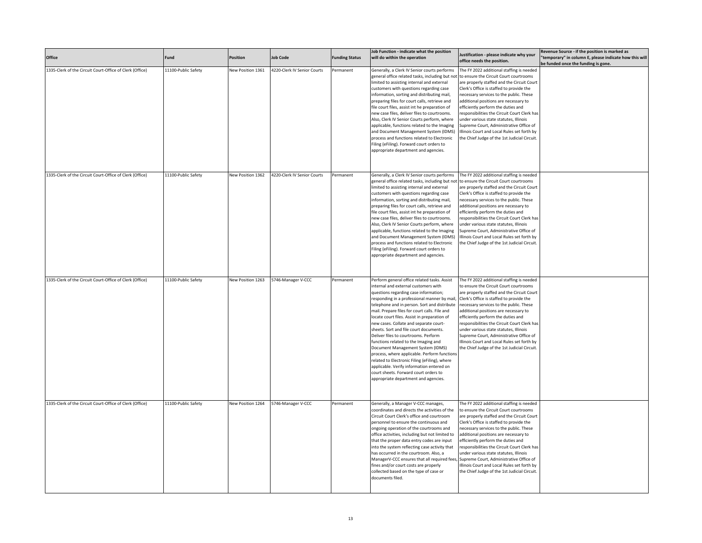| Office                                                   | Fund                | <b>Position</b>   | <b>Job Code</b>             | <b>Funding Status</b> | Job Function - indicate what the position<br>will do within the operation                                                                                                                                                                                                                                                                                                                                                                                                                                                                                                                                                                                                                                                                                             | Justification - please indicate why your<br>office needs the position.                                                                                                                                                                                                                                                                                                                                                                                                                                                                      | Revenue Source - if the position is marked as<br>'temporary" in column E, please indicate how this will<br>be funded once the funding is gone. |
|----------------------------------------------------------|---------------------|-------------------|-----------------------------|-----------------------|-----------------------------------------------------------------------------------------------------------------------------------------------------------------------------------------------------------------------------------------------------------------------------------------------------------------------------------------------------------------------------------------------------------------------------------------------------------------------------------------------------------------------------------------------------------------------------------------------------------------------------------------------------------------------------------------------------------------------------------------------------------------------|---------------------------------------------------------------------------------------------------------------------------------------------------------------------------------------------------------------------------------------------------------------------------------------------------------------------------------------------------------------------------------------------------------------------------------------------------------------------------------------------------------------------------------------------|------------------------------------------------------------------------------------------------------------------------------------------------|
| 1335-Clerk of the Circuit Court-Office of Clerk (Office) | 11100-Public Safety | New Position 1361 | 4220-Clerk IV Senior Courts | Permanent             | Generally, a Clerk IV Senior courts performs<br>general office related tasks, including but not<br>limited to assisting internal and external<br>customers with questions regarding case<br>information, sorting and distributing mail,<br>preparing files for court calls, retrieve and<br>file court files, assist int he preparation of<br>new case files, deliver files to courtrooms.<br>Also, Clerk IV Senior Courts perform, where<br>applicable, functions related to the Imaging<br>and Document Management System (IDMS)<br>process and functions related to Electronic<br>Filing (eFiling). Forward court orders to<br>appropriate department and agencies.                                                                                                | The FY 2022 additional staffing is needed<br>to ensure the Circuit Court courtrooms<br>are properly staffed and the Circuit Court<br>Clerk's Office is staffed to provide the<br>necessary services to the public. These<br>additional positions are necessary to<br>efficiently perform the duties and<br>responsibilities the Circuit Court Clerk has<br>under various state statutes, Illinois<br>Supreme Court, Administrative Office of<br>Illinois Court and Local Rules set forth by<br>the Chief Judge of the 1st Judicial Circuit. |                                                                                                                                                |
| 1335-Clerk of the Circuit Court-Office of Clerk (Office) | 11100-Public Safety | New Position 1362 | 4220-Clerk IV Senior Courts | Permanent             | Generally, a Clerk IV Senior courts performs<br>general office related tasks, including but not<br>limited to assisting internal and external<br>customers with questions regarding case<br>information, sorting and distributing mail,<br>preparing files for court calls, retrieve and<br>file court files, assist int he preparation of<br>new case files, deliver files to courtrooms.<br>Also, Clerk IV Senior Courts perform, where<br>applicable, functions related to the Imaging<br>and Document Management System (IDMS)<br>process and functions related to Electronic<br>Filing (eFiling). Forward court orders to<br>appropriate department and agencies.                                                                                                | The FY 2022 additional staffing is needed<br>to ensure the Circuit Court courtrooms<br>are properly staffed and the Circuit Court<br>Clerk's Office is staffed to provide the<br>necessary services to the public. These<br>additional positions are necessary to<br>efficiently perform the duties and<br>responsibilities the Circuit Court Clerk has<br>under various state statutes, Illinois<br>Supreme Court, Administrative Office of<br>Illinois Court and Local Rules set forth by<br>the Chief Judge of the 1st Judicial Circuit. |                                                                                                                                                |
| 1335-Clerk of the Circuit Court-Office of Clerk (Office) | 11100-Public Safety | New Position 1263 | 5746-Manager V-CCC          | Permanent             | Perform general office related tasks. Assist<br>internal and external customers with<br>questions regarding case information;<br>responding in a professional manner by mail,<br>telephone and in person. Sort and distribute<br>mail. Prepare files for court calls. File and<br>locate court files. Assist in preparation of<br>new cases. Collate and separate court-<br>sheets. Sort and file court documents.<br>Deliver files to courtrooms. Perform<br>functions related to the Imaging and<br>Document Management System (IDMS)<br>process, where applicable. Perform function:<br>elated to Electronic Filing (eFiling), where<br>applicable. Verify information entered on<br>court sheets. Forward court orders to<br>appropriate department and agencies. | The FY 2022 additional staffing is needed<br>to ensure the Circuit Court courtrooms<br>are properly staffed and the Circuit Court<br>Clerk's Office is staffed to provide the<br>necessary services to the public. These<br>additional positions are necessary to<br>efficiently perform the duties and<br>responsibilities the Circuit Court Clerk has<br>under various state statutes, Illinois<br>Supreme Court, Administrative Office of<br>Illinois Court and Local Rules set forth by<br>the Chief Judge of the 1st Judicial Circuit. |                                                                                                                                                |
| 1335-Clerk of the Circuit Court-Office of Clerk (Office) | 11100-Public Safety | New Position 1264 | 5746-Manager V-CCC          | Permanent             | Generally, a Manager V-CCC manages,<br>coordinates and directs the activities of the<br>Circuit Court Clerk's office and courtroom<br>personnel to ensure the continuous and<br>ongoing operation of the courtrooms and<br>office activities, including but not limited to<br>that the proper data entry codes are input<br>into the system reflecting case activity that<br>has occurred in the courtroom. Also, a<br>ManagerV-CCC ensures that all required fees, Supreme Court, Administrative Office of<br>fines and/or court costs are properly<br>collected based on the type of case or<br>documents filed.                                                                                                                                                    | The FY 2022 additional staffing is needed<br>to ensure the Circuit Court courtrooms<br>are properly staffed and the Circuit Court<br>Clerk's Office is staffed to provide the<br>necessary services to the public. These<br>additional positions are necessary to<br>efficiently perform the duties and<br>responsibilities the Circuit Court Clerk has<br>under various state statutes, Illinois<br>Illinois Court and Local Rules set forth by<br>the Chief Judge of the 1st Judicial Circuit.                                            |                                                                                                                                                |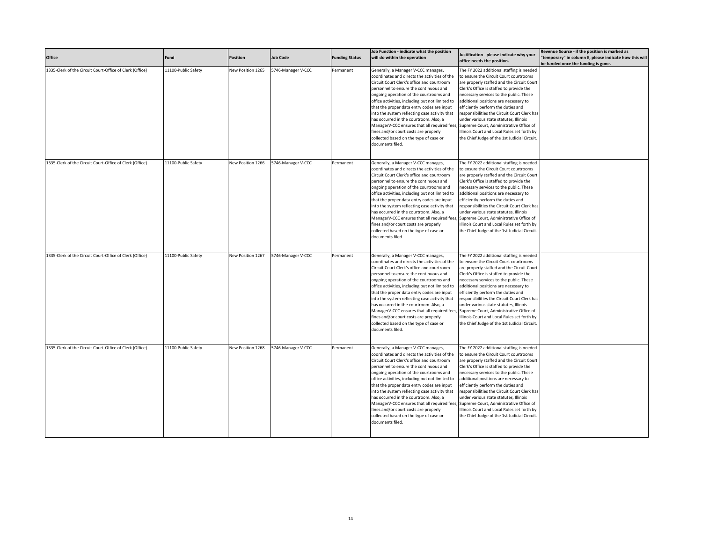| Office                                                   | Fund                | Position          | <b>Job Code</b>    | <b>Funding Status</b> | Job Function - indicate what the position<br>will do within the operation                                                                                                                                                                                                                                                                                                                                                                                                                                                                                                  | Justification - please indicate why your<br>office needs the position.                                                                                                                                                                                                                                                                                                                                                                                                                                                                      | Revenue Source - if the position is marked as<br>"temporary" in column E, please indicate how this will<br>be funded once the funding is gone. |
|----------------------------------------------------------|---------------------|-------------------|--------------------|-----------------------|----------------------------------------------------------------------------------------------------------------------------------------------------------------------------------------------------------------------------------------------------------------------------------------------------------------------------------------------------------------------------------------------------------------------------------------------------------------------------------------------------------------------------------------------------------------------------|---------------------------------------------------------------------------------------------------------------------------------------------------------------------------------------------------------------------------------------------------------------------------------------------------------------------------------------------------------------------------------------------------------------------------------------------------------------------------------------------------------------------------------------------|------------------------------------------------------------------------------------------------------------------------------------------------|
| 1335-Clerk of the Circuit Court-Office of Clerk (Office) | 11100-Public Safety | New Position 1265 | 5746-Manager V-CCC | Permanent             | Generally, a Manager V-CCC manages,<br>coordinates and directs the activities of the<br>Circuit Court Clerk's office and courtroom<br>personnel to ensure the continuous and<br>ongoing operation of the courtrooms and<br>office activities, including but not limited to<br>that the proper data entry codes are input<br>into the system reflecting case activity that<br>has occurred in the courtroom. Also, a<br>ManagerV-CCC ensures that all required fees,<br>fines and/or court costs are properly<br>collected based on the type of case or<br>documents filed. | The FY 2022 additional staffing is needed<br>to ensure the Circuit Court courtrooms<br>are properly staffed and the Circuit Court<br>Clerk's Office is staffed to provide the<br>necessary services to the public. These<br>additional positions are necessary to<br>efficiently perform the duties and<br>responsibilities the Circuit Court Clerk has<br>under various state statutes, Illinois<br>Supreme Court, Administrative Office of<br>Illinois Court and Local Rules set forth by<br>the Chief Judge of the 1st Judicial Circuit. |                                                                                                                                                |
| 1335-Clerk of the Circuit Court-Office of Clerk (Office) | 11100-Public Safety | New Position 1266 | 5746-Manager V-CCC | Permanent             | Generally, a Manager V-CCC manages,<br>coordinates and directs the activities of the<br>Circuit Court Clerk's office and courtroom<br>personnel to ensure the continuous and<br>ongoing operation of the courtrooms and<br>office activities, including but not limited to<br>that the proper data entry codes are input<br>into the system reflecting case activity that<br>has occurred in the courtroom. Also, a<br>ManagerV-CCC ensures that all required fees<br>fines and/or court costs are properly<br>collected based on the type of case or<br>documents filed.  | The FY 2022 additional staffing is needed<br>to ensure the Circuit Court courtrooms<br>are properly staffed and the Circuit Court<br>Clerk's Office is staffed to provide the<br>necessary services to the public. These<br>additional positions are necessary to<br>efficiently perform the duties and<br>responsibilities the Circuit Court Clerk has<br>under various state statutes, Illinois<br>Supreme Court, Administrative Office of<br>Illinois Court and Local Rules set forth by<br>the Chief Judge of the 1st Judicial Circuit  |                                                                                                                                                |
| 1335-Clerk of the Circuit Court-Office of Clerk (Office) | 11100-Public Safety | New Position 1267 | 5746-Manager V-CCC | Permanent             | Generally, a Manager V-CCC manages,<br>coordinates and directs the activities of the<br>Circuit Court Clerk's office and courtroom<br>personnel to ensure the continuous and<br>ongoing operation of the courtrooms and<br>office activities, including but not limited to<br>that the proper data entry codes are input<br>into the system reflecting case activity that<br>has occurred in the courtroom. Also, a<br>ManagerV-CCC ensures that all required fees<br>fines and/or court costs are properly<br>collected based on the type of case or<br>documents filed.  | The FY 2022 additional staffing is needed<br>to ensure the Circuit Court courtrooms<br>are properly staffed and the Circuit Court<br>Clerk's Office is staffed to provide the<br>necessary services to the public. These<br>additional positions are necessary to<br>efficiently perform the duties and<br>responsibilities the Circuit Court Clerk has<br>under various state statutes, Illinois<br>Supreme Court, Administrative Office of<br>Illinois Court and Local Rules set forth by<br>the Chief Judge of the 1st Judicial Circuit  |                                                                                                                                                |
| 1335-Clerk of the Circuit Court-Office of Clerk (Office) | 11100-Public Safety | New Position 1268 | 5746-Manager V-CCC | Permanent             | Generally, a Manager V-CCC manages,<br>coordinates and directs the activities of the<br>Circuit Court Clerk's office and courtroom<br>personnel to ensure the continuous and<br>ongoing operation of the courtrooms and<br>office activities, including but not limited to<br>that the proper data entry codes are input<br>into the system reflecting case activity that<br>has occurred in the courtroom. Also, a<br>ManagerV-CCC ensures that all required fees<br>fines and/or court costs are properly<br>collected based on the type of case or<br>documents filed.  | The FY 2022 additional staffing is needed<br>to ensure the Circuit Court courtrooms<br>are properly staffed and the Circuit Court<br>Clerk's Office is staffed to provide the<br>necessary services to the public. These<br>additional positions are necessary to<br>efficiently perform the duties and<br>responsibilities the Circuit Court Clerk has<br>under various state statutes, Illinois<br>Supreme Court, Administrative Office of<br>Illinois Court and Local Rules set forth by<br>the Chief Judge of the 1st Judicial Circuit  |                                                                                                                                                |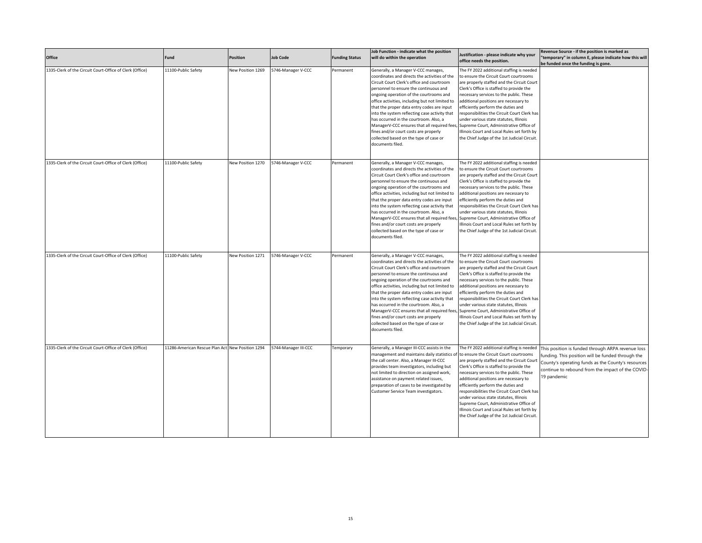| Office                                                   | Fund                                             | <b>Position</b>   | <b>Job Code</b>      | <b>Funding Status</b> | Job Function - indicate what the position<br>will do within the operation                                                                                                                                                                                                                                                                                                                                                                                                                                                                                                  | Justification - please indicate why your<br>office needs the position.                                                                                                                                                                                                                                                                                                                                                                                                                                                                      | Revenue Source - if the position is marked as<br>'temporary" in column E, please indicate how this will<br>be funded once the funding is gone.                                                                                   |
|----------------------------------------------------------|--------------------------------------------------|-------------------|----------------------|-----------------------|----------------------------------------------------------------------------------------------------------------------------------------------------------------------------------------------------------------------------------------------------------------------------------------------------------------------------------------------------------------------------------------------------------------------------------------------------------------------------------------------------------------------------------------------------------------------------|---------------------------------------------------------------------------------------------------------------------------------------------------------------------------------------------------------------------------------------------------------------------------------------------------------------------------------------------------------------------------------------------------------------------------------------------------------------------------------------------------------------------------------------------|----------------------------------------------------------------------------------------------------------------------------------------------------------------------------------------------------------------------------------|
| 1335-Clerk of the Circuit Court-Office of Clerk (Office) | 11100-Public Safety                              | New Position 1269 | 5746-Manager V-CCC   | Permanent             | Generally, a Manager V-CCC manages,<br>coordinates and directs the activities of the<br>Circuit Court Clerk's office and courtroom<br>personnel to ensure the continuous and<br>ongoing operation of the courtrooms and<br>office activities, including but not limited to<br>that the proper data entry codes are input<br>into the system reflecting case activity that<br>has occurred in the courtroom. Also, a<br>ManagerV-CCC ensures that all required fees,<br>fines and/or court costs are properly<br>collected based on the type of case or<br>documents filed. | The FY 2022 additional staffing is needed<br>to ensure the Circuit Court courtrooms<br>are properly staffed and the Circuit Court<br>Clerk's Office is staffed to provide the<br>necessary services to the public. These<br>additional positions are necessary to<br>efficiently perform the duties and<br>responsibilities the Circuit Court Clerk has<br>under various state statutes, Illinois<br>Supreme Court, Administrative Office of<br>Illinois Court and Local Rules set forth by<br>the Chief Judge of the 1st Judicial Circuit. |                                                                                                                                                                                                                                  |
| 1335-Clerk of the Circuit Court-Office of Clerk (Office) | 11100-Public Safety                              | New Position 1270 | 5746-Manager V-CCC   | Permanent             | Generally, a Manager V-CCC manages,<br>coordinates and directs the activities of the<br>Circuit Court Clerk's office and courtroom<br>personnel to ensure the continuous and<br>ongoing operation of the courtrooms and<br>office activities, including but not limited to<br>that the proper data entry codes are input<br>into the system reflecting case activity that<br>has occurred in the courtroom. Also, a<br>ManagerV-CCC ensures that all required fees<br>fines and/or court costs are properly<br>collected based on the type of case or<br>documents filed.  | The FY 2022 additional staffing is needed<br>to ensure the Circuit Court courtrooms<br>are properly staffed and the Circuit Court<br>Clerk's Office is staffed to provide the<br>necessary services to the public. These<br>additional positions are necessary to<br>efficiently perform the duties and<br>responsibilities the Circuit Court Clerk has<br>under various state statutes, Illinois<br>Supreme Court, Administrative Office of<br>Illinois Court and Local Rules set forth by<br>the Chief Judge of the 1st Judicial Circuit. |                                                                                                                                                                                                                                  |
| 1335-Clerk of the Circuit Court-Office of Clerk (Office) | 11100-Public Safety                              | New Position 1271 | 746-Manager V-CCC    | Permanent             | Generally, a Manager V-CCC manages,<br>coordinates and directs the activities of the<br>Circuit Court Clerk's office and courtroom<br>personnel to ensure the continuous and<br>ongoing operation of the courtrooms and<br>office activities, including but not limited to<br>that the proper data entry codes are input<br>into the system reflecting case activity that<br>has occurred in the courtroom. Also, a<br>ManagerV-CCC ensures that all required fees<br>fines and/or court costs are properly<br>collected based on the type of case or<br>documents filed.  | The FY 2022 additional staffing is needed<br>to ensure the Circuit Court courtrooms<br>are properly staffed and the Circuit Court<br>Clerk's Office is staffed to provide the<br>necessary services to the public. These<br>additional positions are necessary to<br>efficiently perform the duties and<br>responsibilities the Circuit Court Clerk has<br>under various state statutes, Illinois<br>Supreme Court, Administrative Office of<br>Illinois Court and Local Rules set forth by<br>the Chief Judge of the 1st Judicial Circuit. |                                                                                                                                                                                                                                  |
| 1335-Clerk of the Circuit Court-Office of Clerk (Office) | 11286-American Rescue Plan Act New Position 1294 |                   | 5744-Manager III-CCC | Temporary             | Generally, a Manager III-CCC assists in the<br>management and maintains daily statistics of<br>the call center. Also, a Manager III-CCC<br>provides team investigators, including but<br>not limited to direction on assigned work,<br>assistance on payment related issues,<br>preparation of cases to be investigated by<br>Customer Service Team investigators.                                                                                                                                                                                                         | The FY 2022 additional staffing is needed<br>to ensure the Circuit Court courtrooms<br>are properly staffed and the Circuit Court<br>Clerk's Office is staffed to provide the<br>necessary services to the public. These<br>additional positions are necessary to<br>efficiently perform the duties and<br>responsibilities the Circuit Court Clerk has<br>under various state statutes, Illinois<br>Supreme Court, Administrative Office of<br>Illinois Court and Local Rules set forth by<br>the Chief Judge of the 1st Judicial Circuit. | This position is funded through ARPA revenue loss<br>funding. This position will be funded through the<br>County's operating funds as the County's resources<br>continue to rebound from the impact of the COVID-<br>19 pandemic |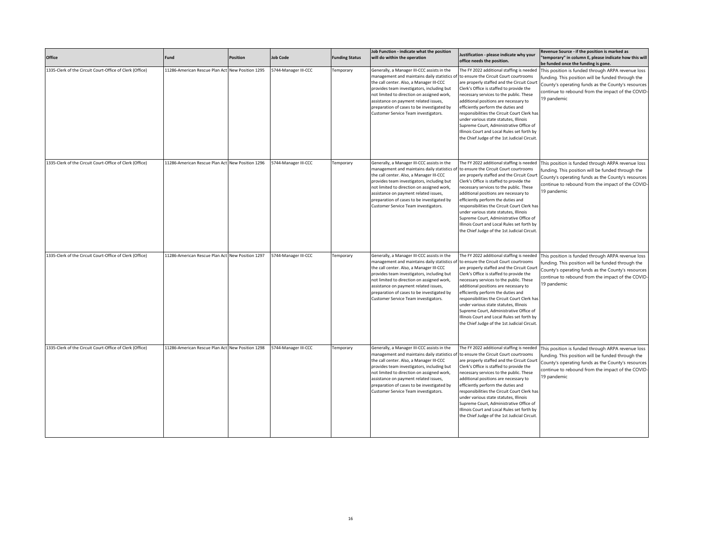| Office                                                   | Fund                                             | <b>Position</b> | <b>Job Code</b>      | <b>Funding Status</b> | Job Function - indicate what the position<br>will do within the operation                                                                                                                                                                                                                                                                                          | Justification - please indicate why your<br>office needs the position.                                                                                                                                                                                                                                                                                                                                                                                                                                                                      | Revenue Source - if the position is marked as<br>'temporary" in column E, please indicate how this will<br>be funded once the funding is gone.                                                                                   |
|----------------------------------------------------------|--------------------------------------------------|-----------------|----------------------|-----------------------|--------------------------------------------------------------------------------------------------------------------------------------------------------------------------------------------------------------------------------------------------------------------------------------------------------------------------------------------------------------------|---------------------------------------------------------------------------------------------------------------------------------------------------------------------------------------------------------------------------------------------------------------------------------------------------------------------------------------------------------------------------------------------------------------------------------------------------------------------------------------------------------------------------------------------|----------------------------------------------------------------------------------------------------------------------------------------------------------------------------------------------------------------------------------|
| 1335-Clerk of the Circuit Court-Office of Clerk (Office) | 11286-American Rescue Plan Act New Position 1295 |                 | 5744-Manager III-CCC | Temporary             | Generally, a Manager III-CCC assists in the<br>management and maintains daily statistics of<br>the call center. Also, a Manager III-CCC<br>provides team investigators, including but<br>not limited to direction on assigned work,<br>assistance on payment related issues,<br>preparation of cases to be investigated by<br>Customer Service Team investigators. | The FY 2022 additional staffing is needed<br>to ensure the Circuit Court courtrooms<br>are properly staffed and the Circuit Court<br>Clerk's Office is staffed to provide the<br>necessary services to the public. These<br>additional positions are necessary to<br>efficiently perform the duties and<br>responsibilities the Circuit Court Clerk has<br>under various state statutes, Illinois<br>Supreme Court, Administrative Office of<br>Illinois Court and Local Rules set forth by<br>the Chief Judge of the 1st Judicial Circuit. | This position is funded through ARPA revenue loss<br>funding. This position will be funded through the<br>County's operating funds as the County's resources<br>continue to rebound from the impact of the COVID-<br>19 pandemic |
| 1335-Clerk of the Circuit Court-Office of Clerk (Office) | 11286-American Rescue Plan Act New Position 1296 |                 | 5744-Manager III-CCC | Temporary             | Generally, a Manager III-CCC assists in the<br>management and maintains daily statistics of<br>the call center. Also, a Manager III-CCC<br>provides team investigators, including but<br>not limited to direction on assigned work,<br>assistance on payment related issues,<br>preparation of cases to be investigated by<br>Customer Service Team investigators. | The FY 2022 additional staffing is needed<br>to ensure the Circuit Court courtrooms<br>are properly staffed and the Circuit Court<br>Clerk's Office is staffed to provide the<br>necessary services to the public. These<br>additional positions are necessary to<br>efficiently perform the duties and<br>responsibilities the Circuit Court Clerk has<br>under various state statutes, Illinois<br>Supreme Court, Administrative Office of<br>Illinois Court and Local Rules set forth by<br>the Chief Judge of the 1st Judicial Circuit. | This position is funded through ARPA revenue loss<br>funding. This position will be funded through the<br>County's operating funds as the County's resources<br>continue to rebound from the impact of the COVID-<br>19 pandemic |
| 1335-Clerk of the Circuit Court-Office of Clerk (Office) | 11286-American Rescue Plan Act New Position 1297 |                 | 5744-Manager III-CCC | Temporary             | Generally, a Manager III-CCC assists in the<br>management and maintains daily statistics of<br>the call center. Also, a Manager III-CCC<br>provides team investigators, including but<br>not limited to direction on assigned work,<br>assistance on payment related issues,<br>preparation of cases to be investigated by<br>Customer Service Team investigators. | The FY 2022 additional staffing is needed<br>to ensure the Circuit Court courtrooms<br>are properly staffed and the Circuit Court<br>Clerk's Office is staffed to provide the<br>necessary services to the public. These<br>additional positions are necessary to<br>efficiently perform the duties and<br>responsibilities the Circuit Court Clerk has<br>under various state statutes, Illinois<br>Supreme Court, Administrative Office of<br>Illinois Court and Local Rules set forth by<br>the Chief Judge of the 1st Judicial Circuit. | This position is funded through ARPA revenue loss<br>funding. This position will be funded through the<br>County's operating funds as the County's resources<br>continue to rebound from the impact of the COVID-<br>19 pandemic |
| 1335-Clerk of the Circuit Court-Office of Clerk (Office) | 11286-American Rescue Plan Act New Position 1298 |                 | 5744-Manager III-CCC | Temporary             | Generally, a Manager III-CCC assists in the<br>management and maintains daily statistics of<br>the call center. Also, a Manager III-CCC<br>provides team investigators, including but<br>not limited to direction on assigned work,<br>assistance on payment related issues,<br>preparation of cases to be investigated by<br>Customer Service Team investigators. | The FY 2022 additional staffing is needed<br>to ensure the Circuit Court courtrooms<br>are properly staffed and the Circuit Court<br>Clerk's Office is staffed to provide the<br>necessary services to the public. These<br>additional positions are necessary to<br>efficiently perform the duties and<br>responsibilities the Circuit Court Clerk has<br>under various state statutes, Illinois<br>Supreme Court, Administrative Office of<br>Illinois Court and Local Rules set forth by<br>the Chief Judge of the 1st Judicial Circuit. | This position is funded through ARPA revenue loss<br>funding. This position will be funded through the<br>County's operating funds as the County's resources<br>continue to rebound from the impact of the COVID-<br>19 pandemic |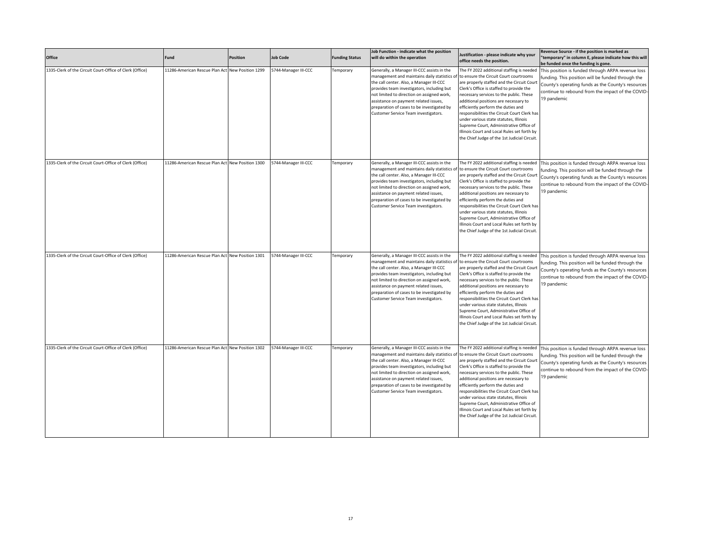| Office                                                   | Fund                                             | <b>Position</b> | <b>Job Code</b>      | <b>Funding Status</b> | Job Function - indicate what the position<br>will do within the operation                                                                                                                                                                                                                                                                                          | Justification - please indicate why your<br>office needs the position.                                                                                                                                                                                                                                                                                                                                                                                                                                                                      | Revenue Source - if the position is marked as<br>'temporary" in column E, please indicate how this will<br>be funded once the funding is gone.                                                                                   |
|----------------------------------------------------------|--------------------------------------------------|-----------------|----------------------|-----------------------|--------------------------------------------------------------------------------------------------------------------------------------------------------------------------------------------------------------------------------------------------------------------------------------------------------------------------------------------------------------------|---------------------------------------------------------------------------------------------------------------------------------------------------------------------------------------------------------------------------------------------------------------------------------------------------------------------------------------------------------------------------------------------------------------------------------------------------------------------------------------------------------------------------------------------|----------------------------------------------------------------------------------------------------------------------------------------------------------------------------------------------------------------------------------|
| 1335-Clerk of the Circuit Court-Office of Clerk (Office) | 11286-American Rescue Plan Act New Position 1299 |                 | 5744-Manager III-CCC | Temporary             | Generally, a Manager III-CCC assists in the<br>management and maintains daily statistics o<br>the call center. Also, a Manager III-CCC<br>provides team investigators, including but<br>not limited to direction on assigned work,<br>assistance on payment related issues,<br>preparation of cases to be investigated by<br>Customer Service Team investigators.  | The FY 2022 additional staffing is needed<br>to ensure the Circuit Court courtrooms<br>are properly staffed and the Circuit Court<br>Clerk's Office is staffed to provide the<br>necessary services to the public. These<br>additional positions are necessary to<br>efficiently perform the duties and<br>responsibilities the Circuit Court Clerk has<br>under various state statutes, Illinois<br>Supreme Court, Administrative Office of<br>Illinois Court and Local Rules set forth by<br>the Chief Judge of the 1st Judicial Circuit. | This position is funded through ARPA revenue loss<br>funding. This position will be funded through the<br>County's operating funds as the County's resources<br>continue to rebound from the impact of the COVID-<br>19 pandemic |
| 1335-Clerk of the Circuit Court-Office of Clerk (Office) | 11286-American Rescue Plan Act New Position 1300 |                 | 5744-Manager III-CCC | Temporary             | Generally, a Manager III-CCC assists in the<br>management and maintains daily statistics of<br>the call center. Also, a Manager III-CCC<br>provides team investigators, including but<br>not limited to direction on assigned work,<br>assistance on payment related issues,<br>preparation of cases to be investigated by<br>Customer Service Team investigators. | The FY 2022 additional staffing is needed<br>to ensure the Circuit Court courtrooms<br>are properly staffed and the Circuit Court<br>Clerk's Office is staffed to provide the<br>necessary services to the public. These<br>additional positions are necessary to<br>efficiently perform the duties and<br>responsibilities the Circuit Court Clerk has<br>under various state statutes, Illinois<br>Supreme Court, Administrative Office of<br>Illinois Court and Local Rules set forth by<br>the Chief Judge of the 1st Judicial Circuit. | This position is funded through ARPA revenue loss<br>funding. This position will be funded through the<br>County's operating funds as the County's resources<br>continue to rebound from the impact of the COVID-<br>19 pandemic |
| 1335-Clerk of the Circuit Court-Office of Clerk (Office) | 11286-American Rescue Plan Act New Position 1301 |                 | 5744-Manager III-CCC | Temporary             | Generally, a Manager III-CCC assists in the<br>management and maintains daily statistics of<br>the call center. Also, a Manager III-CCC<br>provides team investigators, including but<br>not limited to direction on assigned work,<br>assistance on payment related issues,<br>preparation of cases to be investigated by<br>Customer Service Team investigators. | The FY 2022 additional staffing is needed<br>to ensure the Circuit Court courtrooms<br>are properly staffed and the Circuit Court<br>Clerk's Office is staffed to provide the<br>necessary services to the public. These<br>additional positions are necessary to<br>efficiently perform the duties and<br>responsibilities the Circuit Court Clerk has<br>under various state statutes, Illinois<br>Supreme Court, Administrative Office of<br>Illinois Court and Local Rules set forth by<br>the Chief Judge of the 1st Judicial Circuit. | This position is funded through ARPA revenue loss<br>funding. This position will be funded through the<br>County's operating funds as the County's resources<br>continue to rebound from the impact of the COVID-<br>19 pandemic |
| 1335-Clerk of the Circuit Court-Office of Clerk (Office) | 11286-American Rescue Plan Act New Position 1302 |                 | 5744-Manager III-CCC | Temporary             | Generally, a Manager III-CCC assists in the<br>management and maintains daily statistics of<br>the call center. Also, a Manager III-CCC<br>provides team investigators, including but<br>not limited to direction on assigned work,<br>assistance on payment related issues,<br>preparation of cases to be investigated by<br>Customer Service Team investigators. | The FY 2022 additional staffing is needed<br>to ensure the Circuit Court courtrooms<br>are properly staffed and the Circuit Court<br>Clerk's Office is staffed to provide the<br>necessary services to the public. These<br>additional positions are necessary to<br>efficiently perform the duties and<br>responsibilities the Circuit Court Clerk has<br>under various state statutes, Illinois<br>Supreme Court, Administrative Office of<br>Illinois Court and Local Rules set forth by<br>the Chief Judge of the 1st Judicial Circuit. | This position is funded through ARPA revenue loss<br>funding. This position will be funded through the<br>County's operating funds as the County's resources<br>continue to rebound from the impact of the COVID-<br>19 pandemic |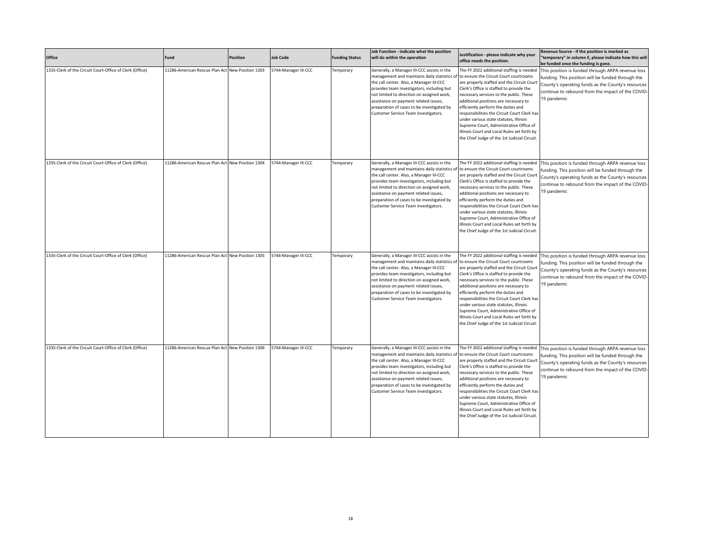| Office                                                   | Fund                                             | <b>Position</b> | <b>Job Code</b>      | <b>Funding Status</b> | Job Function - indicate what the position<br>will do within the operation                                                                                                                                                                                                                                                                                          | Justification - please indicate why your<br>office needs the position.                                                                                                                                                                                                                                                                                                                                                                                                                                                                      | Revenue Source - if the position is marked as<br>'temporary" in column E, please indicate how this will<br>be funded once the funding is gone.                                                                                   |
|----------------------------------------------------------|--------------------------------------------------|-----------------|----------------------|-----------------------|--------------------------------------------------------------------------------------------------------------------------------------------------------------------------------------------------------------------------------------------------------------------------------------------------------------------------------------------------------------------|---------------------------------------------------------------------------------------------------------------------------------------------------------------------------------------------------------------------------------------------------------------------------------------------------------------------------------------------------------------------------------------------------------------------------------------------------------------------------------------------------------------------------------------------|----------------------------------------------------------------------------------------------------------------------------------------------------------------------------------------------------------------------------------|
| 1335-Clerk of the Circuit Court-Office of Clerk (Office) | 11286-American Rescue Plan Act New Position 1303 |                 | 5744-Manager III-CCC | Temporary             | Generally, a Manager III-CCC assists in the<br>management and maintains daily statistics o<br>the call center. Also, a Manager III-CCC<br>provides team investigators, including but<br>not limited to direction on assigned work,<br>assistance on payment related issues,<br>preparation of cases to be investigated by<br>Customer Service Team investigators.  | The FY 2022 additional staffing is needed<br>to ensure the Circuit Court courtrooms<br>are properly staffed and the Circuit Court<br>Clerk's Office is staffed to provide the<br>necessary services to the public. These<br>additional positions are necessary to<br>efficiently perform the duties and<br>responsibilities the Circuit Court Clerk has<br>under various state statutes, Illinois<br>Supreme Court, Administrative Office of<br>Illinois Court and Local Rules set forth by<br>the Chief Judge of the 1st Judicial Circuit. | This position is funded through ARPA revenue loss<br>funding. This position will be funded through the<br>County's operating funds as the County's resources<br>continue to rebound from the impact of the COVID-<br>19 pandemic |
| 1335-Clerk of the Circuit Court-Office of Clerk (Office) | 11286-American Rescue Plan Act New Position 1304 |                 | 5744-Manager III-CCC | Temporary             | Generally, a Manager III-CCC assists in the<br>management and maintains daily statistics of<br>the call center. Also, a Manager III-CCC<br>provides team investigators, including but<br>not limited to direction on assigned work,<br>assistance on payment related issues,<br>preparation of cases to be investigated by<br>Customer Service Team investigators. | The FY 2022 additional staffing is needed<br>to ensure the Circuit Court courtrooms<br>are properly staffed and the Circuit Court<br>Clerk's Office is staffed to provide the<br>necessary services to the public. These<br>additional positions are necessary to<br>efficiently perform the duties and<br>responsibilities the Circuit Court Clerk has<br>under various state statutes, Illinois<br>Supreme Court, Administrative Office of<br>Illinois Court and Local Rules set forth by<br>the Chief Judge of the 1st Judicial Circuit. | This position is funded through ARPA revenue loss<br>funding. This position will be funded through the<br>County's operating funds as the County's resources<br>continue to rebound from the impact of the COVID-<br>19 pandemic |
| 1335-Clerk of the Circuit Court-Office of Clerk (Office) | 11286-American Rescue Plan Act New Position 1305 |                 | 5744-Manager III-CCC | Temporary             | Generally, a Manager III-CCC assists in the<br>management and maintains daily statistics of<br>the call center. Also, a Manager III-CCC<br>provides team investigators, including but<br>not limited to direction on assigned work,<br>assistance on payment related issues,<br>preparation of cases to be investigated by<br>Customer Service Team investigators. | The FY 2022 additional staffing is needed<br>to ensure the Circuit Court courtrooms<br>are properly staffed and the Circuit Court<br>Clerk's Office is staffed to provide the<br>necessary services to the public. These<br>additional positions are necessary to<br>efficiently perform the duties and<br>responsibilities the Circuit Court Clerk has<br>under various state statutes, Illinois<br>Supreme Court, Administrative Office of<br>Illinois Court and Local Rules set forth by<br>the Chief Judge of the 1st Judicial Circuit. | This position is funded through ARPA revenue loss<br>funding. This position will be funded through the<br>County's operating funds as the County's resources<br>continue to rebound from the impact of the COVID-<br>19 pandemic |
| 1335-Clerk of the Circuit Court-Office of Clerk (Office) | 11286-American Rescue Plan Act New Position 1306 |                 | 5744-Manager III-CCC | Temporary             | Generally, a Manager III-CCC assists in the<br>management and maintains daily statistics of<br>the call center. Also, a Manager III-CCC<br>provides team investigators, including but<br>not limited to direction on assigned work,<br>assistance on payment related issues,<br>preparation of cases to be investigated by<br>Customer Service Team investigators. | The FY 2022 additional staffing is needed<br>to ensure the Circuit Court courtrooms<br>are properly staffed and the Circuit Court<br>Clerk's Office is staffed to provide the<br>necessary services to the public. These<br>additional positions are necessary to<br>efficiently perform the duties and<br>responsibilities the Circuit Court Clerk has<br>under various state statutes, Illinois<br>Supreme Court, Administrative Office of<br>Illinois Court and Local Rules set forth by<br>the Chief Judge of the 1st Judicial Circuit. | This position is funded through ARPA revenue loss<br>funding. This position will be funded through the<br>County's operating funds as the County's resources<br>continue to rebound from the impact of the COVID-<br>19 pandemic |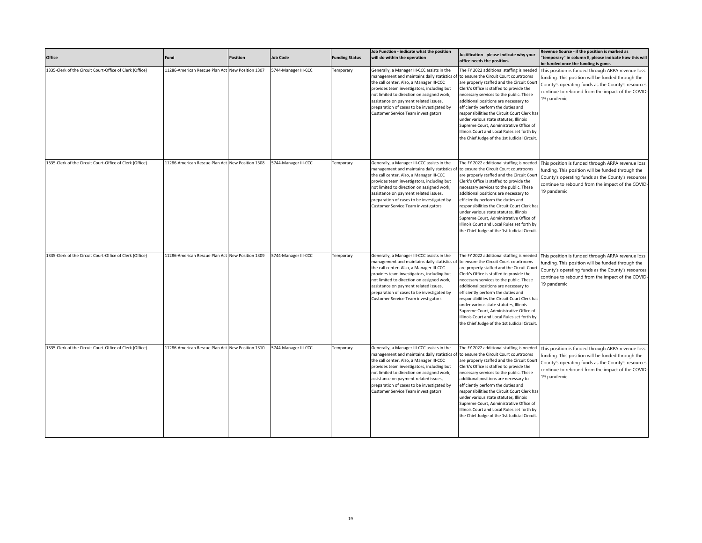| Office                                                   | Fund                                             | <b>Position</b> | <b>Job Code</b>      | <b>Funding Status</b> | Job Function - indicate what the position<br>will do within the operation                                                                                                                                                                                                                                                                                          | Justification - please indicate why your<br>office needs the position.                                                                                                                                                                                                                                                                                                                                                                                                                                                                      | Revenue Source - if the position is marked as<br>'temporary" in column E, please indicate how this will<br>be funded once the funding is gone.                                                                                   |
|----------------------------------------------------------|--------------------------------------------------|-----------------|----------------------|-----------------------|--------------------------------------------------------------------------------------------------------------------------------------------------------------------------------------------------------------------------------------------------------------------------------------------------------------------------------------------------------------------|---------------------------------------------------------------------------------------------------------------------------------------------------------------------------------------------------------------------------------------------------------------------------------------------------------------------------------------------------------------------------------------------------------------------------------------------------------------------------------------------------------------------------------------------|----------------------------------------------------------------------------------------------------------------------------------------------------------------------------------------------------------------------------------|
| 1335-Clerk of the Circuit Court-Office of Clerk (Office) | 11286-American Rescue Plan Act New Position 1307 |                 | 5744-Manager III-CCC | Temporary             | Generally, a Manager III-CCC assists in the<br>management and maintains daily statistics o<br>the call center. Also, a Manager III-CCC<br>provides team investigators, including but<br>not limited to direction on assigned work,<br>assistance on payment related issues,<br>preparation of cases to be investigated by<br>Customer Service Team investigators.  | The FY 2022 additional staffing is needed<br>to ensure the Circuit Court courtrooms<br>are properly staffed and the Circuit Court<br>Clerk's Office is staffed to provide the<br>necessary services to the public. These<br>additional positions are necessary to<br>efficiently perform the duties and<br>responsibilities the Circuit Court Clerk has<br>under various state statutes, Illinois<br>Supreme Court, Administrative Office of<br>Illinois Court and Local Rules set forth by<br>the Chief Judge of the 1st Judicial Circuit. | This position is funded through ARPA revenue loss<br>funding. This position will be funded through the<br>County's operating funds as the County's resources<br>continue to rebound from the impact of the COVID-<br>19 pandemic |
| 1335-Clerk of the Circuit Court-Office of Clerk (Office) | 11286-American Rescue Plan Act New Position 1308 |                 | 5744-Manager III-CCC | Temporary             | Generally, a Manager III-CCC assists in the<br>management and maintains daily statistics of<br>the call center. Also, a Manager III-CCC<br>provides team investigators, including but<br>not limited to direction on assigned work,<br>assistance on payment related issues,<br>preparation of cases to be investigated by<br>Customer Service Team investigators. | The FY 2022 additional staffing is needed<br>to ensure the Circuit Court courtrooms<br>are properly staffed and the Circuit Court<br>Clerk's Office is staffed to provide the<br>necessary services to the public. These<br>additional positions are necessary to<br>efficiently perform the duties and<br>responsibilities the Circuit Court Clerk has<br>under various state statutes, Illinois<br>Supreme Court, Administrative Office of<br>Illinois Court and Local Rules set forth by<br>the Chief Judge of the 1st Judicial Circuit. | This position is funded through ARPA revenue loss<br>funding. This position will be funded through the<br>County's operating funds as the County's resources<br>continue to rebound from the impact of the COVID-<br>19 pandemic |
| 1335-Clerk of the Circuit Court-Office of Clerk (Office) | 11286-American Rescue Plan Act New Position 1309 |                 | 5744-Manager III-CCC | Temporary             | Generally, a Manager III-CCC assists in the<br>management and maintains daily statistics of<br>the call center. Also, a Manager III-CCC<br>provides team investigators, including but<br>not limited to direction on assigned work,<br>assistance on payment related issues,<br>preparation of cases to be investigated by<br>Customer Service Team investigators. | The FY 2022 additional staffing is needed<br>to ensure the Circuit Court courtrooms<br>are properly staffed and the Circuit Court<br>Clerk's Office is staffed to provide the<br>necessary services to the public. These<br>additional positions are necessary to<br>efficiently perform the duties and<br>responsibilities the Circuit Court Clerk has<br>under various state statutes, Illinois<br>Supreme Court, Administrative Office of<br>Illinois Court and Local Rules set forth by<br>the Chief Judge of the 1st Judicial Circuit. | This position is funded through ARPA revenue loss<br>funding. This position will be funded through the<br>County's operating funds as the County's resources<br>continue to rebound from the impact of the COVID-<br>19 pandemic |
| 1335-Clerk of the Circuit Court-Office of Clerk (Office) | 11286-American Rescue Plan Act New Position 1310 |                 | 5744-Manager III-CCC | Temporary             | Generally, a Manager III-CCC assists in the<br>management and maintains daily statistics of<br>the call center. Also, a Manager III-CCC<br>provides team investigators, including but<br>not limited to direction on assigned work,<br>assistance on payment related issues,<br>preparation of cases to be investigated by<br>Customer Service Team investigators. | The FY 2022 additional staffing is needed<br>to ensure the Circuit Court courtrooms<br>are properly staffed and the Circuit Court<br>Clerk's Office is staffed to provide the<br>necessary services to the public. These<br>additional positions are necessary to<br>efficiently perform the duties and<br>responsibilities the Circuit Court Clerk has<br>under various state statutes, Illinois<br>Supreme Court, Administrative Office of<br>Illinois Court and Local Rules set forth by<br>the Chief Judge of the 1st Judicial Circuit. | This position is funded through ARPA revenue loss<br>funding. This position will be funded through the<br>County's operating funds as the County's resources<br>continue to rebound from the impact of the COVID-<br>19 pandemic |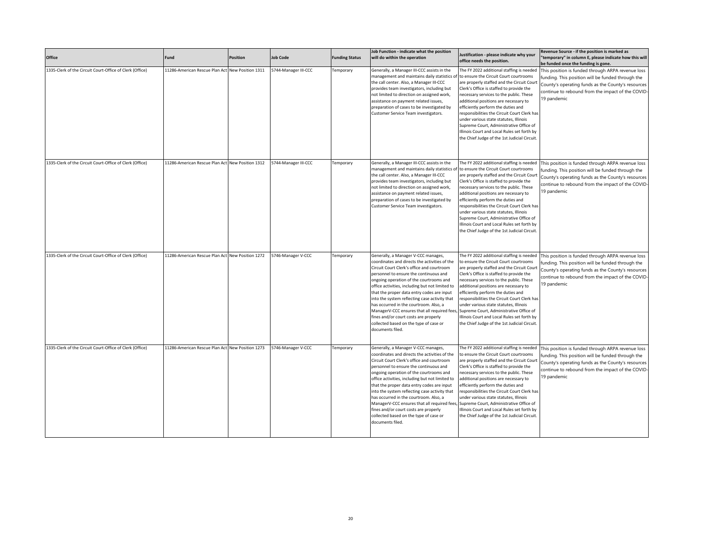| Office                                                   | Fund                                             | <b>Position</b> | <b>Job Code</b>      | <b>Funding Status</b> | Job Function - indicate what the position<br>will do within the operation                                                                                                                                                                                                                                                                                                                                                                                                                                                                                                 | Justification - please indicate why your<br>office needs the position.                                                                                                                                                                                                                                                                                                                                                                                                                                                                      | Revenue Source - if the position is marked as<br>'temporary" in column E, please indicate how this will<br>be funded once the funding is gone.                                                                                   |
|----------------------------------------------------------|--------------------------------------------------|-----------------|----------------------|-----------------------|---------------------------------------------------------------------------------------------------------------------------------------------------------------------------------------------------------------------------------------------------------------------------------------------------------------------------------------------------------------------------------------------------------------------------------------------------------------------------------------------------------------------------------------------------------------------------|---------------------------------------------------------------------------------------------------------------------------------------------------------------------------------------------------------------------------------------------------------------------------------------------------------------------------------------------------------------------------------------------------------------------------------------------------------------------------------------------------------------------------------------------|----------------------------------------------------------------------------------------------------------------------------------------------------------------------------------------------------------------------------------|
| 1335-Clerk of the Circuit Court-Office of Clerk (Office) | 11286-American Rescue Plan Act New Position 1311 |                 | 5744-Manager III-CCC | Temporary             | Generally, a Manager III-CCC assists in the<br>management and maintains daily statistics of<br>the call center. Also, a Manager III-CCC<br>provides team investigators, including but<br>not limited to direction on assigned work,<br>assistance on payment related issues,<br>preparation of cases to be investigated by<br>Customer Service Team investigators.                                                                                                                                                                                                        | The FY 2022 additional staffing is needed<br>to ensure the Circuit Court courtrooms<br>are properly staffed and the Circuit Court<br>Clerk's Office is staffed to provide the<br>necessary services to the public. These<br>additional positions are necessary to<br>efficiently perform the duties and<br>responsibilities the Circuit Court Clerk has<br>under various state statutes, Illinois<br>Supreme Court, Administrative Office of<br>Illinois Court and Local Rules set forth by<br>the Chief Judge of the 1st Judicial Circuit. | This position is funded through ARPA revenue loss<br>funding. This position will be funded through the<br>County's operating funds as the County's resources<br>continue to rebound from the impact of the COVID-<br>19 pandemic |
| 1335-Clerk of the Circuit Court-Office of Clerk (Office) | 11286-American Rescue Plan Act New Position 1312 |                 | 5744-Manager III-CCC | Temporary             | Generally, a Manager III-CCC assists in the<br>management and maintains daily statistics of<br>the call center. Also, a Manager III-CCC<br>provides team investigators, including but<br>not limited to direction on assigned work,<br>assistance on payment related issues,<br>preparation of cases to be investigated by<br>Customer Service Team investigators.                                                                                                                                                                                                        | The FY 2022 additional staffing is needed<br>to ensure the Circuit Court courtrooms<br>are properly staffed and the Circuit Court<br>Clerk's Office is staffed to provide the<br>necessary services to the public. These<br>additional positions are necessary to<br>efficiently perform the duties and<br>responsibilities the Circuit Court Clerk has<br>under various state statutes, Illinois<br>Supreme Court, Administrative Office of<br>Illinois Court and Local Rules set forth by<br>the Chief Judge of the 1st Judicial Circuit. | This position is funded through ARPA revenue loss<br>funding. This position will be funded through the<br>County's operating funds as the County's resources<br>continue to rebound from the impact of the COVID-<br>19 pandemic |
| 1335-Clerk of the Circuit Court-Office of Clerk (Office) | 11286-American Rescue Plan Act New Position 1272 |                 | 5746-Manager V-CCC   | Temporary             | Generally, a Manager V-CCC manages,<br>coordinates and directs the activities of the<br>Circuit Court Clerk's office and courtroom<br>personnel to ensure the continuous and<br>ongoing operation of the courtrooms and<br>office activities, including but not limited to<br>that the proper data entry codes are input<br>into the system reflecting case activity that<br>has occurred in the courtroom. Also, a<br>ManagerV-CCC ensures that all required fees<br>fines and/or court costs are properly<br>collected based on the type of case or<br>documents filed. | The FY 2022 additional staffing is needed<br>to ensure the Circuit Court courtrooms<br>are properly staffed and the Circuit Court<br>Clerk's Office is staffed to provide the<br>necessary services to the public. These<br>additional positions are necessary to<br>efficiently perform the duties and<br>responsibilities the Circuit Court Clerk has<br>under various state statutes, Illinois<br>Supreme Court, Administrative Office of<br>Illinois Court and Local Rules set forth by<br>the Chief Judge of the 1st Judicial Circuit. | This position is funded through ARPA revenue loss<br>funding. This position will be funded through the<br>County's operating funds as the County's resources<br>continue to rebound from the impact of the COVID-<br>19 pandemic |
| 1335-Clerk of the Circuit Court-Office of Clerk (Office) | 11286-American Rescue Plan Act New Position 1273 |                 | 5746-Manager V-CCC   | Temporary             | Generally, a Manager V-CCC manages,<br>coordinates and directs the activities of the<br>Circuit Court Clerk's office and courtroom<br>personnel to ensure the continuous and<br>ongoing operation of the courtrooms and<br>office activities, including but not limited to<br>that the proper data entry codes are input<br>into the system reflecting case activity that<br>has occurred in the courtroom. Also, a<br>ManagerV-CCC ensures that all required fees<br>fines and/or court costs are properly<br>collected based on the type of case or<br>documents filed. | The FY 2022 additional staffing is needed<br>to ensure the Circuit Court courtrooms<br>are properly staffed and the Circuit Court<br>Clerk's Office is staffed to provide the<br>necessary services to the public. These<br>additional positions are necessary to<br>efficiently perform the duties and<br>responsibilities the Circuit Court Clerk has<br>under various state statutes, Illinois<br>Supreme Court, Administrative Office of<br>Illinois Court and Local Rules set forth by<br>the Chief Judge of the 1st Judicial Circuit. | This position is funded through ARPA revenue loss<br>funding. This position will be funded through the<br>County's operating funds as the County's resources<br>continue to rebound from the impact of the COVID-<br>19 pandemic |